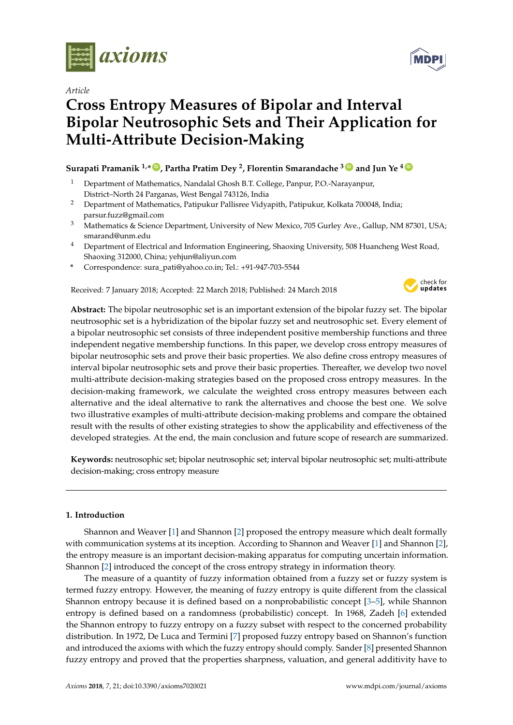

*Article*

# **Cross Entropy Measures of Bipolar and Interval Bipolar Neutrosophic Sets and Their Application for Multi-Attribute Decision-Making**

# **Surapati Pramanik 1,\* [ID](https://orcid.org/0000-0002-8167-7026) , Partha Pratim Dey <sup>2</sup> , Florentin Smarandache <sup>3</sup> [ID](https://orcid.org/0000-0002-5560-5926) and Jun Ye <sup>4</sup> [ID](https://orcid.org/0000-0003-2841-6529)**

- <sup>1</sup> Department of Mathematics, Nandalal Ghosh B.T. College, Panpur, P.O.-Narayanpur, District–North 24 Parganas, West Bengal 743126, India
- <sup>2</sup> Department of Mathematics, Patipukur Pallisree Vidyapith, Patipukur, Kolkata 700048, India; parsur.fuzz@gmail.com
- <sup>3</sup> Mathematics & Science Department, University of New Mexico, 705 Gurley Ave., Gallup, NM 87301, USA; smarand@unm.edu
- <sup>4</sup> Department of Electrical and Information Engineering, Shaoxing University, 508 Huancheng West Road, Shaoxing 312000, China; yehjun@aliyun.com
- **\*** Correspondence: sura\_pati@yahoo.co.in; Tel.: +91-947-703-5544

Received: 7 January 2018; Accepted: 22 March 2018; Published: 24 March 2018



**Abstract:** The bipolar neutrosophic set is an important extension of the bipolar fuzzy set. The bipolar neutrosophic set is a hybridization of the bipolar fuzzy set and neutrosophic set. Every element of a bipolar neutrosophic set consists of three independent positive membership functions and three independent negative membership functions. In this paper, we develop cross entropy measures of bipolar neutrosophic sets and prove their basic properties. We also define cross entropy measures of interval bipolar neutrosophic sets and prove their basic properties. Thereafter, we develop two novel multi-attribute decision-making strategies based on the proposed cross entropy measures. In the decision-making framework, we calculate the weighted cross entropy measures between each alternative and the ideal alternative to rank the alternatives and choose the best one. We solve two illustrative examples of multi-attribute decision-making problems and compare the obtained result with the results of other existing strategies to show the applicability and effectiveness of the developed strategies. At the end, the main conclusion and future scope of research are summarized.

**Keywords:** neutrosophic set; bipolar neutrosophic set; interval bipolar neutrosophic set; multi-attribute decision-making; cross entropy measure

# **1. Introduction**

Shannon and Weaver [\[1\]](#page-20-0) and Shannon [\[2\]](#page-20-1) proposed the entropy measure which dealt formally with communication systems at its inception. According to Shannon and Weaver [\[1\]](#page-20-0) and Shannon [\[2\]](#page-20-1), the entropy measure is an important decision-making apparatus for computing uncertain information. Shannon [\[2\]](#page-20-1) introduced the concept of the cross entropy strategy in information theory.

The measure of a quantity of fuzzy information obtained from a fuzzy set or fuzzy system is termed fuzzy entropy. However, the meaning of fuzzy entropy is quite different from the classical Shannon entropy because it is defined based on a nonprobabilistic concept [\[3–](#page-20-2)[5\]](#page-20-3), while Shannon entropy is defined based on a randomness (probabilistic) concept. In 1968, Zadeh [\[6\]](#page-20-4) extended the Shannon entropy to fuzzy entropy on a fuzzy subset with respect to the concerned probability distribution. In 1972, De Luca and Termini [\[7\]](#page-20-5) proposed fuzzy entropy based on Shannon's function and introduced the axioms with which the fuzzy entropy should comply. Sander [\[8\]](#page-20-6) presented Shannon fuzzy entropy and proved that the properties sharpness, valuation, and general additivity have to

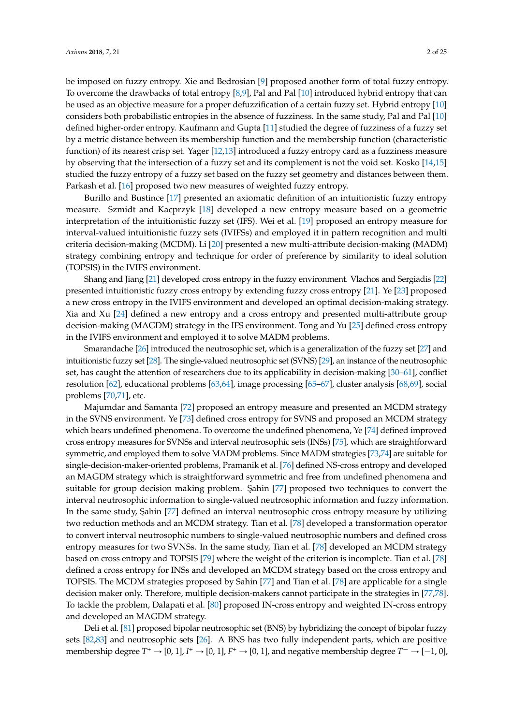be imposed on fuzzy entropy. Xie and Bedrosian [\[9\]](#page-20-7) proposed another form of total fuzzy entropy. To overcome the drawbacks of total entropy [\[8,](#page-20-6)[9\]](#page-20-7), Pal and Pal [\[10\]](#page-20-8) introduced hybrid entropy that can be used as an objective measure for a proper defuzzification of a certain fuzzy set. Hybrid entropy [\[10\]](#page-20-8) considers both probabilistic entropies in the absence of fuzziness. In the same study, Pal and Pal [\[10\]](#page-20-8) defined higher-order entropy. Kaufmann and Gupta [\[11\]](#page-20-9) studied the degree of fuzziness of a fuzzy set by a metric distance between its membership function and the membership function (characteristic function) of its nearest crisp set. Yager [\[12,](#page-20-10)[13\]](#page-20-11) introduced a fuzzy entropy card as a fuzziness measure by observing that the intersection of a fuzzy set and its complement is not the void set. Kosko [\[14](#page-20-12)[,15\]](#page-20-13) studied the fuzzy entropy of a fuzzy set based on the fuzzy set geometry and distances between them. Parkash et al. [\[16\]](#page-20-14) proposed two new measures of weighted fuzzy entropy.

Burillo and Bustince [\[17\]](#page-21-0) presented an axiomatic definition of an intuitionistic fuzzy entropy measure. Szmidt and Kacprzyk [\[18\]](#page-21-1) developed a new entropy measure based on a geometric interpretation of the intuitionistic fuzzy set (IFS). Wei et al. [\[19\]](#page-21-2) proposed an entropy measure for interval-valued intuitionistic fuzzy sets (IVIFSs) and employed it in pattern recognition and multi criteria decision-making (MCDM). Li [\[20\]](#page-21-3) presented a new multi-attribute decision-making (MADM) strategy combining entropy and technique for order of preference by similarity to ideal solution (TOPSIS) in the IVIFS environment.

Shang and Jiang [\[21\]](#page-21-4) developed cross entropy in the fuzzy environment. Vlachos and Sergiadis [\[22\]](#page-21-5) presented intuitionistic fuzzy cross entropy by extending fuzzy cross entropy [\[21\]](#page-21-4). Ye [\[23\]](#page-21-6) proposed a new cross entropy in the IVIFS environment and developed an optimal decision-making strategy. Xia and Xu [\[24\]](#page-21-7) defined a new entropy and a cross entropy and presented multi-attribute group decision-making (MAGDM) strategy in the IFS environment. Tong and Yu [\[25\]](#page-21-8) defined cross entropy in the IVIFS environment and employed it to solve MADM problems.

Smarandache [\[26\]](#page-21-9) introduced the neutrosophic set, which is a generalization of the fuzzy set [\[27\]](#page-21-10) and intuitionistic fuzzy set [\[28\]](#page-21-11). The single-valued neutrosophic set (SVNS) [\[29\]](#page-21-12), an instance of the neutrosophic set, has caught the attention of researchers due to its applicability in decision-making [\[30–](#page-21-13)[61\]](#page-22-0), conflict resolution [\[62\]](#page-22-1), educational problems [\[63,](#page-22-2)[64\]](#page-22-3), image processing [\[65](#page-22-4)[–67\]](#page-22-5), cluster analysis [\[68](#page-22-6)[,69\]](#page-23-0), social problems [\[70](#page-23-1)[,71\]](#page-23-2), etc.

Majumdar and Samanta [\[72\]](#page-23-3) proposed an entropy measure and presented an MCDM strategy in the SVNS environment. Ye [\[73\]](#page-23-4) defined cross entropy for SVNS and proposed an MCDM strategy which bears undefined phenomena. To overcome the undefined phenomena, Ye [\[74\]](#page-23-5) defined improved cross entropy measures for SVNSs and interval neutrosophic sets (INSs) [\[75\]](#page-23-6), which are straightforward symmetric, and employed them to solve MADM problems. Since MADM strategies [\[73,](#page-23-4)[74\]](#page-23-5) are suitable for single-decision-maker-oriented problems, Pramanik et al. [\[76\]](#page-23-7) defined NS-cross entropy and developed an MAGDM strategy which is straightforward symmetric and free from undefined phenomena and suitable for group decision making problem. Sahin [\[77\]](#page-23-8) proposed two techniques to convert the interval neutrosophic information to single-valued neutrosophic information and fuzzy information. In the same study, Sahin [\[77\]](#page-23-8) defined an interval neutrosophic cross entropy measure by utilizing two reduction methods and an MCDM strategy. Tian et al. [\[78\]](#page-23-9) developed a transformation operator to convert interval neutrosophic numbers to single-valued neutrosophic numbers and defined cross entropy measures for two SVNSs. In the same study, Tian et al. [\[78\]](#page-23-9) developed an MCDM strategy based on cross entropy and TOPSIS [\[79\]](#page-23-10) where the weight of the criterion is incomplete. Tian et al. [\[78\]](#page-23-9) defined a cross entropy for INSs and developed an MCDM strategy based on the cross entropy and TOPSIS. The MCDM strategies proposed by Sahin [\[77\]](#page-23-8) and Tian et al. [\[78\]](#page-23-9) are applicable for a single decision maker only. Therefore, multiple decision-makers cannot participate in the strategies in [\[77](#page-23-8)[,78\]](#page-23-9). To tackle the problem, Dalapati et al. [\[80\]](#page-23-11) proposed IN-cross entropy and weighted IN-cross entropy and developed an MAGDM strategy.

Deli et al. [\[81\]](#page-23-12) proposed bipolar neutrosophic set (BNS) by hybridizing the concept of bipolar fuzzy sets [\[82](#page-23-13)[,83\]](#page-23-14) and neutrosophic sets [\[26\]](#page-21-9). A BNS has two fully independent parts, which are positive membership degree  $T^+ \to [0, 1]$ ,  $I^+ \to [0, 1]$ ,  $F^+ \to [0, 1]$ , and negative membership degree  $T^- \to [-1, 0]$ ,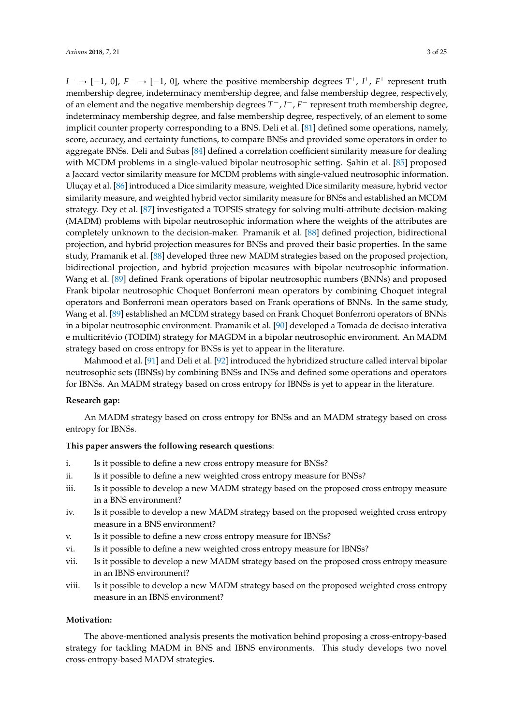$I^- \rightarrow [-1, 0]$ ,  $F^- \rightarrow [-1, 0]$ , where the positive membership degrees  $T^+$ ,  $I^+$ ,  $F^+$  represent truth membership degree, indeterminacy membership degree, and false membership degree, respectively, of an element and the negative membership degrees  $T^-$ ,  $I^-$ ,  $F^-$  represent truth membership degree, indeterminacy membership degree, and false membership degree, respectively, of an element to some implicit counter property corresponding to a BNS. Deli et al. [\[81\]](#page-23-12) defined some operations, namely, score, accuracy, and certainty functions, to compare BNSs and provided some operators in order to aggregate BNSs. Deli and Subas [\[84\]](#page-23-15) defined a correlation coefficient similarity measure for dealing with MCDM problems in a single-valued bipolar neutrosophic setting. Şahin et al. [\[85\]](#page-23-16) proposed a Jaccard vector similarity measure for MCDM problems with single-valued neutrosophic information. Uluçay et al. [\[86\]](#page-23-17) introduced a Dice similarity measure, weighted Dice similarity measure, hybrid vector similarity measure, and weighted hybrid vector similarity measure for BNSs and established an MCDM strategy. Dey et al. [\[87\]](#page-23-18) investigated a TOPSIS strategy for solving multi-attribute decision-making (MADM) problems with bipolar neutrosophic information where the weights of the attributes are completely unknown to the decision-maker. Pramanik et al. [\[88\]](#page-23-19) defined projection, bidirectional projection, and hybrid projection measures for BNSs and proved their basic properties. In the same study, Pramanik et al. [\[88\]](#page-23-19) developed three new MADM strategies based on the proposed projection, bidirectional projection, and hybrid projection measures with bipolar neutrosophic information. Wang et al. [\[89\]](#page-23-20) defined Frank operations of bipolar neutrosophic numbers (BNNs) and proposed Frank bipolar neutrosophic Choquet Bonferroni mean operators by combining Choquet integral operators and Bonferroni mean operators based on Frank operations of BNNs. In the same study, Wang et al. [\[89\]](#page-23-20) established an MCDM strategy based on Frank Choquet Bonferroni operators of BNNs in a bipolar neutrosophic environment. Pramanik et al. [\[90\]](#page-23-21) developed a Tomada de decisao interativa e multicritévio (TODIM) strategy for MAGDM in a bipolar neutrosophic environment. An MADM strategy based on cross entropy for BNSs is yet to appear in the literature.

Mahmood et al. [\[91\]](#page-24-0) and Deli et al. [\[92\]](#page-24-1) introduced the hybridized structure called interval bipolar neutrosophic sets (IBNSs) by combining BNSs and INSs and defined some operations and operators for IBNSs. An MADM strategy based on cross entropy for IBNSs is yet to appear in the literature.

#### **Research gap:**

An MADM strategy based on cross entropy for BNSs and an MADM strategy based on cross entropy for IBNSs.

#### **This paper answers the following research questions**:

- i. Is it possible to define a new cross entropy measure for BNSs?
- ii. Is it possible to define a new weighted cross entropy measure for BNSs?
- iii. Is it possible to develop a new MADM strategy based on the proposed cross entropy measure in a BNS environment?
- iv. Is it possible to develop a new MADM strategy based on the proposed weighted cross entropy measure in a BNS environment?
- v. Is it possible to define a new cross entropy measure for IBNSs?
- vi. Is it possible to define a new weighted cross entropy measure for IBNSs?
- vii. Is it possible to develop a new MADM strategy based on the proposed cross entropy measure in an IBNS environment?
- viii. Is it possible to develop a new MADM strategy based on the proposed weighted cross entropy measure in an IBNS environment?

#### **Motivation:**

The above-mentioned analysis presents the motivation behind proposing a cross-entropy-based strategy for tackling MADM in BNS and IBNS environments. This study develops two novel cross-entropy-based MADM strategies.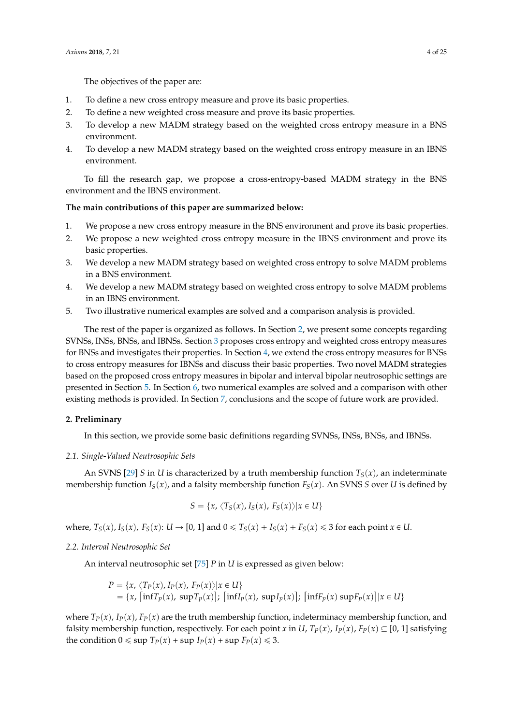The objectives of the paper are:

- 1. To define a new cross entropy measure and prove its basic properties.
- 2. To define a new weighted cross measure and prove its basic properties.
- 3. To develop a new MADM strategy based on the weighted cross entropy measure in a BNS environment.
- 4. To develop a new MADM strategy based on the weighted cross entropy measure in an IBNS environment.

To fill the research gap, we propose a cross-entropy-based MADM strategy in the BNS environment and the IBNS environment.

#### **The main contributions of this paper are summarized below:**

- 1. We propose a new cross entropy measure in the BNS environment and prove its basic properties.
- 2. We propose a new weighted cross entropy measure in the IBNS environment and prove its basic properties.
- 3. We develop a new MADM strategy based on weighted cross entropy to solve MADM problems in a BNS environment.
- 4. We develop a new MADM strategy based on weighted cross entropy to solve MADM problems in an IBNS environment.
- 5. Two illustrative numerical examples are solved and a comparison analysis is provided.

The rest of the paper is organized as follows. In Section [2,](#page-3-0) we present some concepts regarding SVNSs, INSs, BNSs, and IBNSs. Section [3](#page-5-0) proposes cross entropy and weighted cross entropy measures for BNSs and investigates their properties. In Section [4,](#page-7-0) we extend the cross entropy measures for BNSs to cross entropy measures for IBNSs and discuss their basic properties. Two novel MADM strategies based on the proposed cross entropy measures in bipolar and interval bipolar neutrosophic settings are presented in Section [5.](#page-12-0) In Section [6,](#page-15-0) two numerical examples are solved and a comparison with other existing methods is provided. In Section [7,](#page-17-0) conclusions and the scope of future work are provided.

#### <span id="page-3-0"></span>**2. Preliminary**

In this section, we provide some basic definitions regarding SVNSs, INSs, BNSs, and IBNSs.

#### *2.1. Single-Valued Neutrosophic Sets*

An SVNS [\[29\]](#page-21-12) *S* in *U* is characterized by a truth membership function  $T<sub>S</sub>(x)$ , an indeterminate membership function  $I_S(x)$ , and a falsity membership function  $F_S(x)$ . An SVNS *S* over *U* is defined by

$$
S = \{x, \langle T_S(x), I_S(x), F_S(x) \rangle | x \in U\}
$$

where,  $T_S(x)$ ,  $I_S(x)$ ,  $F_S(x)$ :  $U \rightarrow [0, 1]$  and  $0 \le T_S(x) + I_S(x) + F_S(x) \le 3$  for each point  $x \in U$ .

#### *2.2. Interval Neutrosophic Set*

An interval neutrosophic set [\[75\]](#page-23-6) *P* in *U* is expressed as given below:

$$
P = \{x, \langle T_P(x), I_P(x), F_P(x) \rangle | x \in U\}
$$
  
=  $\{x, \left[\inf T_p(x), \sup T_p(x)\right]; \left[\inf I_p(x), \sup I_p(x)\right]; \left[\inf F_p(x) \sup F_p(x)\right] | x \in U\}$ 

where  $T_P(x)$ ,  $I_P(x)$ ,  $F_P(x)$  are the truth membership function, indeterminacy membership function, and falsity membership function, respectively. For each point *x* in *U*,  $T_P(x)$ ,  $I_P(x)$ ,  $F_P(x) \subseteq [0, 1]$  satisfying the condition  $0 \leq \sup T_P(x) + \sup I_P(x) + \sup F_P(x) \leq 3$ .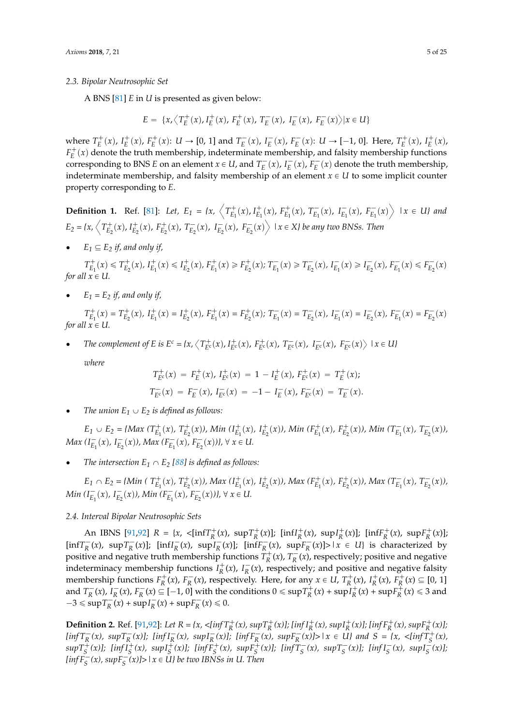#### *2.3. Bipolar Neutrosophic Set*

A BNS [\[81\]](#page-23-12) *E* in *U* is presented as given below:

$$
E = \{x, \left\langle T_E^+(x), I_E^+(x), F_E^+(x), T_E^-(x), I_E^-(x), F_E^-(x) \right\rangle | x \in U\}
$$

where  $T_E^+(x)$ ,  $I_E^+(x)$ ,  $F_E^+(x)$ :  $U \to [0, 1]$  and  $T_E^-(x)$ ,  $I_E^-(x)$ ,  $F_E^-(x)$ :  $U \to [-1, 0]$ . Here,  $T_E^+(x)$ ,  $I_E^+(x)$ ,  $F_E^+(x)$  denote the truth membership, indeterminate membership, and falsity membership functions corresponding to BNS *E* on an element  $x \in U$ , and  $T_E^-(x)$ ,  $I_E^-(x)$ ,  $F_E^-(x)$  denote the truth membership, indeterminate membership, and falsity membership of an element  $x \in U$  to some implicit counter property corresponding to *E*.

**Definition 1.** Ref. [\[81\]](#page-23-12): Let,  $E_1 = \{x, \left\langle T_{E_1}^+(x), I_{E_1}^+(x), T_{E_1}^-(x), T_{E_1}^-(x), I_{E_1}^-(x), F_{E_1}^-(x) \right\rangle \mid x \in U\}$  and  $E_2 = \{x, \left\langle T_{E_2}^+(x), I_{E_2}^+(x), F_{E_2}^+(x), T_{E_2}^-(x), I_{E_2}^-(x), I_{E_2}^-(x), I_{E_2}^-(x), I_{E_2}^-(x), I_{E_2}^-(x), I_{E_2}^-(x), I_{E_2}^-(x), I_{E_2}^-(x), I_{E_2}^-(x), I_{E_2}^-(x), I_{E_2}^-(x), I_{E_2}^-(x), I_{E_2}^-(x), I_{E_2}^-(x), I_{E_2}^-(x), I_{E_2}^-(x), I_{E_2}^-($ 

•  $E_1 \subseteq E_2$  *if, and only if,* 

 $T_{E_1}^+(x)\leqslant T_{E_2}^+(x),\ I_{E_1}^+(x)\leqslant I_{E_2}^+(x),\ F_{E_1}^+(x)\geqslant F_{E_2}^+(x);\ T_{E_1}^-(x)\geqslant T_{E_2}^-(x),\ I_{E_1}^-(x)\geqslant I_{E_2}^-(x),\ F_{E_1}^-(x)\leqslant F_{E_2}^-(x)$ *for all*  $x \in U$ .

•  $E_1 = E_2$  *if, and only if,* 

 $T_{E_1}^+(x) = T_{E_2}^+(x)$ ,  $I_{E_1}^+(x) = I_{E_2}^+(x)$ ,  $F_{E_1}^+(x) = F_{E_2}^+(x)$ ;  $T_{E_1}^-(x) = T_{E_2}^-(x)$ ,  $I_{E_1}^-(x) = I_{E_2}^-(x)$ ,  $F_{E_1}^-(x) = F_{E_2}^-(x)$ *for all*  $x \in U$ .

• The complement of E is  $E^c = \{x, \langle T_{E^c}^+(x), I_{E^c}^+(x), F_{E^c}^+(x), T_{E^c}^-(x), I_{E^c}^-(x), F_{E^c}^-(x) \rangle\}$  $|x \in U$ *}* 

*where*

$$
T_{E}^{+}(x) = F_{E}^{+}(x), I_{E}^{+}(x) = 1 - I_{E}^{+}(x), F_{E}^{+}(x) = T_{E}^{+}(x);
$$
  

$$
T_{E}^{-}(x) = F_{E}^{-}(x), I_{E}^{-}(x) = -1 - I_{E}^{-}(x), F_{E}^{-}(x) = T_{E}^{-}(x).
$$

The union  $E_1 \cup E_2$  is defined as follows:

 $E_1 \cup E_2 = \{Max(T_{E_1}^+(x), T_{E_2}^+(x)), Min(T_{E_1}^+(x), T_{E_2}^+(x)), Min(T_{E_1}^+(x), F_{E_2}^+(x)), Min(T_{E_1}^-(x), T_{E_2}^-(x)),$ *Max*  $(I_{E_1}^-(x), I_{E_2}^-(x))$ , *Max*  $(F_{E_1}^-(x), F_{E_2}^-(x))$ ,  $\forall x \in U$ .

The intersection  $E_1 \cap E_2$  [\[88\]](#page-23-19) is defined as follows:

 $E_1 \cap E_2 = \{Min \mid T^+_{E_1}(x), T^+_{E_2}(x)\}$ , Max  $(I^+_{E_1}(x), I^+_{E_2}(x))$ , Max  $(F^+_{E_1}(x), F^+_{E_2}(x))$ , Max  $(T^-_{E_1}(x), T^-_{E_2}(x))$ , *Min*  $(I_{E_1}^-(x), I_{E_2}^-(x))$ , *Min*  $(F_{E_1}^-(x), F_{E_2}^-(x))$ ,  $\forall x \in U$ .

# *2.4. Interval Bipolar Neutrosophic Sets*

An IBNS [\[91,](#page-24-0)[92\]](#page-24-1)  $R = \{x, \langle \inf T_R^+(x), \sup T_R^+(x)\rangle\}$  [inf $I_R^+(x)$ , sup $I_R^+(x)$ ]; [inf $F_R^+(x)$ , sup $F_R^+(x)$ ];  $\left[\inf T_R^-(x), \sup T_R^-(x)\right]$ ;  $\left[\inf T_R^-(x), \sup T_R^-(x)\right]$ ;  $\left[\inf T_R^-(x), \sup T_R^-(x)\right] > |x \in U$  is characterized by positive and negative truth membership functions  $T^+_R(x)$ ,  $T^-_R(x)$ , respectively; positive and negative indeterminacy membership functions  $I_R^+(x)$ ,  $I_R^-(x)$ , respectively; and positive and negative falsity membership functions  $F_R^+(x)$ ,  $F_R^-(x)$ , respectively. Here, for any  $x \in U$ ,  $T_R^+(x)$ ,  $I_R^+(x)$ ,  $F_R^+(x) \subseteq [0, 1]$ and  $T_R^-(x)$ ,  $I_R^-(x)$ ,  $F_R^-(x) \subseteq [-1, 0]$  with the conditions  $0 \leq \sup T_R^+(x) + \sup T_R^+(x) + \sup F_R^+(x) \leq 3$  and  $-3 \le \sup T_R^-(x) + \sup T_R^-(x) + \sup F_R^-(x) \le 0.$ 

**Definition 2.** Ref. [\[91](#page-24-0)[,92\]](#page-24-1): Let  $R = \{x, \langle \ln f T_R^+(x), \sup T_R^+(x) \rangle\}$  [inf  $I_R^+(x)$ , sup  $I_R^+(x)$ ]; [inf  $F_R^+(x)$ , sup  $F_R^+(x)$ ];  $\left[\inf T^-_R(x), \sup T^-_R(x)\right]; \left[\inf I^-_R(x), \sup I^-_R(x)\right]; \left[\inf F^-_R(x), \sup F^-_R(x)\right] > |x \in U\}$  and  $S = \{x, \langle \inf T^+_S(x), \sup T^-_R(x)\rangle\}$  $supT_S^+(x)$ ]; [inf  $I_S^+(x)$ ,  $supI_S^+(x)$ ]; [inf  $F_S^+(x)$ ,  $supF_S^+(x)$ ]; [inf  $T_S^-(x)$ ,  $supT_S^-(x)$ ]; [inf  $I_S^-(x)$ ,  $supI_S^-(x)$ ];  $\left[ \inf F_S^-(x), \sup F_S^-(x) \right] > |x \in U\}$  be two IBNSs in U. Then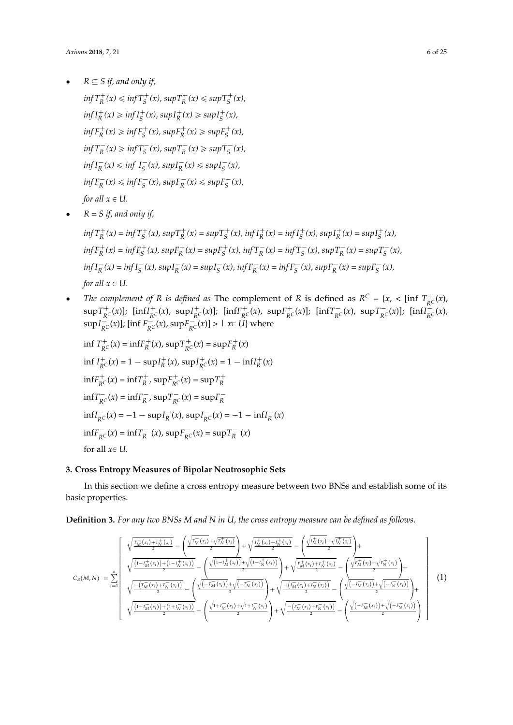$R \subseteq S$  *if, and only if,* 

 $inf T_R^+(x) \leq inf T_S^+(x)$ ,  $sup T_R^+(x) \leq sup T_S^+(x)$ ,  $\inf I_R^+(x) \ge \inf I_S^+(x)$ ,  $\sup I_R^+(x) \ge \sup I_S^+(x)$ ,  $inf F_R^+(x) \ge inf F_S^+(x)$ ,  $sup F_R^+(x) \ge sup F_S^+(x)$ ,  $inf T_R^- (x) \geq inf T_S^- (x), sup T_R^- (x) \geq sup T_S^- (x),$  $\inf I_R^-(x) \le \inf I_S^-(x)$ ,  $\sup I_R^-(x) \le \sup I_S^-(x)$ ,  $inf F^-_R(x) \leq inf F^-_S(x)$ ,  $sup F^-_R(x) \leq sup F^-_S(x)$ , *for all*  $x \in U$ *.* 

 $\bullet$   $R = S$  *if, and only if,* 

 $\inf T^+_R(x) = \inf T^+_S(x)$ ,  $\sup T^+_R(x) = \sup T^+_S(x)$ ,  $\inf T^+_R(x) = \inf T^+_S(x)$ ,  $\sup T^+_R(x) = \sup T^+_S(x)$ ,  $\inf F_R^+(x) = \inf F_S^+(x)$ ,  $\sup F_R^+(x) = \sup F_S^+(x)$ ,  $\inf T_R^-(x) = \inf T_S^-(x)$ ,  $\sup T_R^-(x) = \sup T_S^-(x)$ ,  $\inf I_R^-(x) = \inf I_S^-(x)$ ,  $\sup I_R^-(x) = \sup I_S^-(x)$ ,  $\inf F_R^-(x) = \inf F_S^-(x)$ ,  $\sup F_R^-(x) = \sup F_S^-(x)$ , *for all*  $x \in U$ .

• *The complement of R is defined as* The complement of *R* is defined as  $R^C = \{x, \, \text{in} \mid T^+_{RC}(x), \, \text{in} \}$  $\sup T_{R^C}^+(x)$ ]; [inf $I_{R^C}^+(x)$ ,  $\sup I_{R^C}^+(x)$ ]; [inf $F_{R^C}^+(x)$ ,  $\sup F_{R^C}^+(x)$ ]; [inf $T_{R^C}^-(x)$ ,  $\sup T_{R^C}^-(x)$ ]; [inf $I_{R^C}^-(x)$ ,  $\sup I^-_{R^C}(x)$ ]; [inf  $F^-_{R^C}(x)$ ,  $\sup F^-_{R^C}(x)$ ] > |  $x \in U$ } where

$$
\inf T_{RC}^{+}(x) = \inf F_{R}^{+}(x), \sup T_{RC}^{+}(x) = \sup F_{R}^{+}(x)
$$
\n
$$
\inf I_{RC}^{+}(x) = 1 - \sup I_{R}^{+}(x), \sup I_{RC}^{+}(x) = 1 - \inf I_{R}^{+}(x)
$$
\n
$$
\inf F_{RC}^{+}(x) = \inf T_{R}^{+}, \sup F_{RC}^{+}(x) = \sup T_{R}^{+}
$$
\n
$$
\inf T_{RC}^{-}(x) = \inf F_{R}^{-}, \sup T_{RC}^{-}(x) = \sup F_{R}^{-}
$$
\n
$$
\inf I_{RC}^{-}(x) = -1 - \sup I_{R}^{-}(x), \sup I_{RC}^{-}(x) = -1 - \inf I_{R}^{-}(x)
$$
\n
$$
\inf F_{RC}^{-}(x) = \inf T_{R}^{-}(x), \sup F_{RC}^{-}(x) = \sup T_{R}^{-}(x)
$$
\n
$$
\text{for all } x \in U.
$$

# <span id="page-5-0"></span>**3. Cross Entropy Measures of Bipolar Neutrosophic Sets**

In this section we define a cross entropy measure between two BNSs and establish some of its basic properties.

**Definition 3.** *For any two BNSs M and N in U, the cross entropy measure can be defined as follows*.

$$
C_{B}(M,N) = \sum_{i=1}^{n} \left( \frac{\sqrt{\frac{r_{M}^{+}(x_{i}) + r_{N}^{+}(x_{i})}{2}} - (\frac{\sqrt{r_{M}^{+}(x_{i})} + \sqrt{r_{N}^{+}(x_{i})}}{2}) + \sqrt{\frac{l_{M}^{+}(x_{i}) + l_{N}^{+}(x_{i})}{2}} - (\frac{\sqrt{l_{M}^{+}(x_{i}) + l_{N}^{+}(x_{i})}}{2}) + \sqrt{\frac{l_{M}^{+}(x_{i}) + l_{N}^{+}(x_{i})}{2}} - (\frac{\sqrt{l_{M}^{+}(x_{i}) + l_{N}^{+}(x_{i})}}{2}) + \sqrt{\frac{l_{M}^{+}(x_{i}) + l_{N}^{+}(x_{i})}{2}} - (\frac{\sqrt{l_{M}^{+}(x_{i}) + l_{N}^{+}(x_{i})}}{2}) + \sqrt{\frac{l_{M}^{+}(x_{i}) + l_{N}^{+}(x_{i})}{2}} - (\frac{\sqrt{l_{M}^{+}(x_{i}) + l_{N}^{+}(x_{i})}}{2}) + \sqrt{\frac{l_{M}^{+}(x_{i}) + l_{N}^{+}(x_{i})}{2}} - (\frac{\sqrt{l_{M}^{+}(x_{i}) + l_{N}^{+}(x_{i})}}{2}) + \sqrt{\frac{l_{M}^{+}(x_{i}) + l_{N}^{+}(x_{i})}{2}} - (\frac{\sqrt{l_{M}^{+}(x_{i}) + l_{N}^{+}(x_{i})}}{2}) + (\sqrt{\frac{l_{M}^{+}(x_{i}) + l_{N}^{+}(x_{i})}{2}} - (\frac{\sqrt{l_{M}^{+}(x_{i}) + l_{N}^{+}(x_{i})}}{2}) + (\sqrt{\frac{l_{M}^{+}(x_{i}) + l_{N}^{+}(x_{i})}{2}} - (\frac{\sqrt{l_{M}^{+}(x_{i}) + l_{N}^{+}(x_{i})}}{2}) + (\sqrt{\frac{l_{M}^{+}(x_{i}) + l_{N}^{+}(x_{i})}{2}} - (\sqrt{\frac{l_{M}^{+}(x_{i}) + l_{N}^{+}(x_{i})}{2}} - (\sqrt{\frac{l_{M}^{+}(x_{i}) + l_{N}^{+}(x_{i})}{2}} - (\sqrt{\frac{l_{M}^{+}(x_{i}) + l_{N}^{+}(x_{i})}{2}} - (\sqrt{\frac{l_{M}^{+}(x_{i}) + l_{N}^{+}(x_{i})}{2}} - (\sqrt{\frac{l_{M}
$$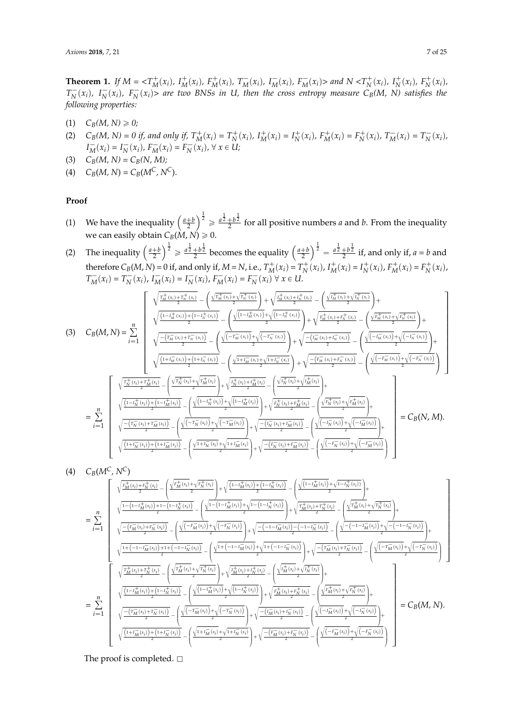**Theorem 1.** If  $M = \langle T_M^+(x_i), I_M^+(x_i), F_M^+(x_i), T_M^-(x_i), I_M^-(x_i), F_M^-(x_i) \rangle$  and  $N \langle T_N^+(x_i), I_N^+(x_i), F_N^+(x_i),$  $T_N^-(x_i)$ ,  $I_N^-(x_i)$ ,  $F_N^-(x_i)$  are two BNSs in U, then the cross entropy measure  $C_B(M, N)$  satisfies the *following properties:*

- $(C_B(M, N) \ge 0;$
- (2)  $C_B(M, N) = 0$  if, and only if,  $T_M^+(x_i) = T_N^+(x_i)$ ,  $I_M^+(x_i) = I_N^+(x_i)$ ,  $F_M^+(x_i) = F_N^+(x_i)$ ,  $T_M^-(x_i) = T_N^-(x_i)$ ,  $I_M^-(x_i) = I_N^-(x_i)$ ,  $F_M^-(x_i) = F_N^-(x_i)$ ,  $\forall x \in U$ ;
- (3)  $C_B(M, N) = C_B(N, M);$
- (4)  $C_B(M, N) = C_B(M^C, N^C).$

# **Proof**

- (1) We have the inequality  $\left(\frac{a+b}{2}\right)$  $\int_0^{\frac{1}{2}} \ge \frac{a^{\frac{1}{2}} + b^{\frac{1}{2}}}{2}$  for all positive numbers *a* and *b*. From the inequality we can easily obtain  $C_B(M, N) \geq 0$ .
- (2) The inequality  $\left(\frac{a+b}{2}\right)$  $\int_0^{\frac{1}{2}} \geq \frac{a\frac{1}{2} + b\frac{1}{2}}{2}$  becomes the equality  $\left(\frac{a+b}{2}\right)$  $\int_0^{\frac{1}{2}} = \frac{a \frac{1}{2} + b \frac{1}{2}}{2}$  if, and only if, *a* = *b* and therefore  $C_B(M, N) = 0$  if, and only if,  $M = N$ , i.e.,  $T_M^+(x_i) = T_N^+(x_i)$ ,  $I_M^+(x_i) = I_N^+(x_i)$ ,  $F_M^+(x_i) = F_N^+(x_i)$ ,  $T_M^-(x_i) = T_N^-(x_i)$ ,  $I_M^-(x_i) = I_N^-(x_i)$ ,  $F_M^-(x_i) = F_N^-(x_i) \forall x \in U$ .  $\mathcal{L} = \mathcal{L} \mathcal{L} \mathcal{L} \mathcal{L} \mathcal{L} \mathcal{L} \mathcal{L} \mathcal{L} \mathcal{L} \mathcal{L} \mathcal{L} \mathcal{L} \mathcal{L} \mathcal{L} \mathcal{L} \mathcal{L} \mathcal{L} \mathcal{L} \mathcal{L} \mathcal{L} \mathcal{L} \mathcal{L} \mathcal{L} \mathcal{L} \mathcal{L} \mathcal{L} \mathcal{L} \mathcal{L} \mathcal{L} \mathcal{L} \mathcal{L} \mathcal{L} \mathcal{L} \mathcal{L} \mathcal{L} \mathcal$

$$
(3) C_{B}(M,N) = \sum_{i=1}^{n} \sqrt{\frac{\frac{1}{2N}(x_{i}) + \frac{1}{N}(x_{i})}{2} - \left(\frac{\sqrt{1 + \frac{1}{N}(x_{i})} + \sqrt{1 + \frac{1}{N}(x_{i})}}{2}\right)}{\sqrt{\frac{1 - \frac{1}{N}(x_{i}) + \frac{1}{N}(x_{i})}{2} - \left(\frac{\sqrt{1 - \frac{1}{N}(x_{i})}}{2}\right)} + \sqrt{\frac{1 - \frac{1}{N}(x_{i}) + \frac{1}{N}(x_{i})}{2}} - \left(\frac{\sqrt{1 + \frac{1}{N}(x_{i}) + \frac{1}{N}(x_{i})}}{2}\right) + \sqrt{\frac{1 - \frac{1}{N}(x_{i}) + \frac{1}{N}(x_{i})}{2}} - \left(\frac{\sqrt{1 + \frac{1}{N}(x_{i}) + \frac{1}{N}(x_{i})}}{2}\right) + \sqrt{\frac{1 - \frac{1}{N}(x_{i}) + \frac{1}{N}(x_{i})}{2}} - \left(\frac{\sqrt{1 + \frac{1}{N}(x_{i}) + \frac{1}{N}(x_{i})}}{2}\right) + \sqrt{\frac{1 - \frac{1}{N}(x_{i}) + \frac{1}{N}(x_{i})}{2}} - \left(\frac{\sqrt{1 - \frac{1}{N}(x_{i}) + \frac{1}{N}(x_{i})}}{2}\right) + \sqrt{\frac{1 - \frac{1}{N}(x_{i}) + \frac{1}{N}(x_{i})}{2}} - \left(\frac{\sqrt{1 - \frac{1}{N}(x_{i}) + \frac{1}{N}(x_{i})}}{2}\right) + \sqrt{\frac{1 - \frac{1}{N}(x_{i}) + \frac{1}{N}(x_{i})}{2}} - \left(\frac{\sqrt{1 - \frac{1}{N}(x_{i}) + \frac{1}{N}(x_{i})}}{2}\right) + \sqrt{\frac{1 - \frac{1}{N}(x_{i}) + \frac{1}{N}(x_{i})}{2}} - \left(\frac{\sqrt{1 - \frac{1}{N}(x_{i}) + \frac{1}{N}(x_{i})}}{2}\right) + \sqrt{\frac{1 - \frac{1}{N}(x_{i}) + \frac{1}{N}(x_{i})}{2}} - \left(\frac{\sqrt{1 - \frac{1}{N}(x_{i}) + \frac{1}{N}(x_{i})}}{2}\right) + \sqrt{\frac{1 - \frac{1}{N}(x_{i})
$$

$$
(4) C_{B}(M^{C}, N^{C})
$$
\n
$$
= \sum_{i=1}^{n} \sqrt{\frac{\frac{r_{M}^{+}(x_{i}) + r_{N}^{+}(x_{i})}{2} - \left(\frac{\sqrt{r_{M}}^{+}(x_{i}) + \sqrt{r_{N}^{+}(x_{i})}}{2}\right)}{\sqrt{\frac{1 - (1 - r_{M}^{+}(x_{i})) + 1 - (1 - r_{N}^{+}(x_{i}))}{2} - \left(\frac{\sqrt{1 - (1 - r_{M}^{+}(x_{i})) + \sqrt{1 - (1 - r_{N}^{+}(x_{i}))}}{2}\right)}{2} + \sqrt{\frac{r_{M}^{+}(x_{i}) + r_{N}^{-}(x_{i})}{2}} - \left(\frac{\sqrt{1 - (1 - r_{M}^{+}(x_{i})) + 1 - (1 - r_{N}^{+}(x_{i}))}}{2}\right) + \sqrt{\frac{r_{M}^{+}(x_{i}) + r_{N}^{+}(x_{i})}{2} - \left(\frac{\sqrt{r_{M}^{+}(x_{i}) + r_{N}^{+}(x_{i})}}{2}\right)}{2} + \sqrt{\frac{r_{M}^{+}(x_{i}) + r_{N}^{-}(x_{i})}{2}} - \left(\frac{\sqrt{1 - (1 - r_{M}^{+}(x_{i})) + 1 - (1 - r_{N}^{+}(x_{i}))}}{2}\right) + \sqrt{\frac{1 - (1 - r_{M}^{+}(x_{i})) + 1 - (1 - r_{N}^{+}(x_{i}))}{2}} - \left(\frac{\sqrt{1 - (1 - r_{M}^{+}(x_{i})) + \sqrt{1 - (1 - r_{N}^{+}(x_{i}))}}{2}\right) + \sqrt{\frac{1 - (1 - r_{M}^{+}(x_{i})) + r_{N}^{-}(x_{i})}{2}} - \left(\frac{\sqrt{1 - (1 - r_{M}^{+}(x_{i})) + \sqrt{1 - (1 - r_{N}^{+}(x_{i}))}}{2}\right) + \sqrt{\frac{1 - (1 - r_{M}^{+}(x_{i})) + r_{N}^{-}(x_{i})}{2}} - \left(\frac{\sqrt{1 - r_{M}^{+}(x_{i}) + r_{N}^{+}(x_{i})}}{2}\right) + \sqrt{\frac{1 - (1 - r_{M}^{+}(x_{i})) + r_{N}^{-}(x_{i})}{2}} - \left(\frac{\sqrt{1 - r_{M}^{+}(x_{i}) + r_{N}^{-}(x_{i})}}{2}\
$$

The proof is completed.  $\square$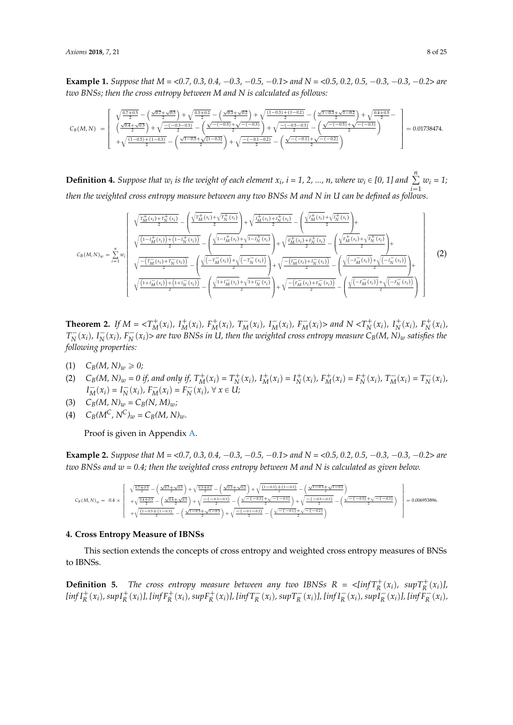**Example 1.** *Suppose that*  $M = \langle 0.7, 0.3, 0.4, -0.3, -0.5, -0.1 \rangle$  and  $N = \langle 0.5, 0.2, 0.5, -0.3, -0.3, -0.2 \rangle$  are *two BNSs; then the cross entropy between M and N is calculated as follows:*

$$
C_B(M,N) = \left[\begin{array}{c} \sqrt{\frac{0.7+0.5}{2}}-\left(\frac{\sqrt{0.7}+\sqrt{0.5}}{2}\right)+\sqrt{\frac{0.3+0.2}{2}}-\left(\frac{\sqrt{0.3}+\sqrt{0.2}}{2}\right)+\sqrt{\frac{(1-0.3)+(1-0.2)}{2}}-\left(\frac{\sqrt{1-0.3}+\sqrt{1-0.2}}{2}\right)+\sqrt{\frac{0.4+0.5}{2}}-\left(\frac{\sqrt{0.4}+\sqrt{0.5}}{2}\right)+\sqrt{\frac{-(0.3-0.3)}{2}}-\left(\frac{\sqrt{-(0.3)}+\sqrt{-(0.3)}+\sqrt{-(0.3)}\sqrt{2}}{2}\right)+\sqrt{\frac{-(0.3-0.3)}{2}}-\left(\frac{\sqrt{-(0.5)}+\sqrt{-(0.3)}\sqrt{2}}{2}\right)\end{array}\right] = 0.01738474.
$$

**Definition 4.** Suppose that  $w_i$  is the weight of each element  $x_i$ ,  $i = 1, 2, ..., n$ , where  $w_i \in [0, 1]$  and  $\sum_{i=1}^{n} w_i = 1$ ; *then the weighted cross entropy measure between any two BNSs M and N in U can be defined as follows.*

$$
c_{B}(M,N)_{w} = \sum_{i=1}^{n} w_{i} \left( \frac{\sqrt{\frac{T_{M}^{+}(x_{i}) + T_{N}^{+}(x_{i})}{2}} - (\frac{\sqrt{T_{M}^{+}(x_{i})} + \sqrt{T_{N}^{+}(x_{i})}}{2}) + \sqrt{\frac{I_{M}^{+}(x_{i}) + I_{N}^{+}(x_{i})}{2}} - (\frac{\sqrt{I_{M}^{+}(x_{i}) + I_{N}^{+}(x_{i})}}{2}) + \sqrt{\frac{I_{M}^{+}(x_{i}) + I_{N}^{+}(x_{i})}{2}} - (\frac{\sqrt{I_{M}^{+}(x_{i}) + I_{N}^{+}(x_{i})}}{2}) + \sqrt{\frac{I_{M}^{+}(x_{i}) + I_{N}^{+}(x_{i})}{2}} - (\frac{\sqrt{I_{M}^{+}(x_{i}) + I_{N}^{+}(x_{i})}}{2}) + \sqrt{\frac{I_{M}^{+}(x_{i}) + I_{N}^{+}(x_{i})}{2}} - (\frac{\sqrt{I_{M}^{+}(x_{i}) + I_{N}^{+}(x_{i})}}{2}) + \sqrt{\frac{I_{M}^{+}(x_{i}) + I_{N}^{+}(x_{i})}{2}} - (\frac{\sqrt{I_{M}^{+}(x_{i}) + I_{N}^{+}(x_{i})}}{2}) + \sqrt{\frac{I_{M}^{+}(x_{i}) + I_{N}^{+}(x_{i})}{2}} - (\frac{\sqrt{I_{M}^{+}(x_{i}) + I_{N}^{+}(x_{i})}}{2}) + (\sqrt{\frac{I_{M}^{+}(x_{i}) + I_{N}^{+}(x_{i})}{2}} - (\frac{\sqrt{I_{M}^{+}(x_{i}) + I_{N}^{+}(x_{i})}}{2}) + (\sqrt{\frac{I_{M}^{+}(x_{i}) + I_{N}^{+}(x_{i})}{2}} - (\sqrt{\frac{I_{M}^{+}(x_{i}) + I_{N}^{+}(x_{i})}{2}} - (\sqrt{\frac{I_{M}^{+}(x_{i}) + I_{N}^{+}(x_{i})}{2}} - (\sqrt{\frac{I_{M}^{+}(x_{i}) + I_{N}^{+}(x_{i})}{2}} - (\sqrt{\frac{I_{M}^{+}(x_{i}) + I_{N}^{+}(x_{i})}{2}} - (\sqrt{\frac{I_{M}^{+}(x_{i}) + I_{N}^{+}(x_{i})}{2}} - (\sqrt{\frac{I_{M}^{+}(x_{i})
$$

**Theorem 2.** If  $M = \langle T_M^+(x_i), T_M^+(x_i), F_M^+(x_i), T_M^-(x_i), T_M^-(x_i), F_M^-(x_i) \rangle$  and  $N \langle T_N^+(x_i), T_N^+(x_i), F_N^+(x_i),$  $T_N^-(x_i)$ , I $_N^-(x_i)$ ,  $F_N^-(x_i)$ > are two BNSs in U, then the weighted cross entropy measure  $C_B(M, N)_w$  satisfies the *following properties:*

- (1)  $C_B(M, N)_w \ge 0;$
- (2)  $C_B(M, N)_w = 0$  if, and only if,  $T_M^+(x_i) = T_N^+(x_i)$ ,  $I_M^+(x_i) = I_N^+(x_i)$ ,  $F_M^+(x_i) = F_N^+(x_i)$ ,  $T_M^-(x_i) = T_N^-(x_i)$ ,  $I_M^-(x_i) = I_N^-(x_i)$ ,  $F_M^-(x_i) = F_N^-(x_i)$ ,  $\forall x \in U$ ;
- (3)  $C_B(M, N)_w = C_B(N, M)_w;$
- (4)  $C_B(M^C, N^C)_{w} = C_B(M, N)_{w}$ .

Proof is given in Appendix [A.](#page-17-1)

**Example 2.** Suppose that  $M = 0.7$ , 0.3, 0.4,  $-0.3$ ,  $-0.5$ ,  $-0.1$  and  $N = 0.5$ , 0.2, 0.5,  $-0.3$ ,  $-0.3$ ,  $-0.2$  are *two BNSs and w = 0.4; then the weighted cross entropy between M and N is calculated as given below.*

$$
C_B\left(M,N\right)_w\;=\;\;0.4\;\times\left[\begin{array}{c} \sqrt{\frac{0.7+0.5}{2}}-\left(\frac{\sqrt{0.7}+\sqrt{0.5}}{2}\right)+\sqrt{\frac{0.3+0.2}{2}}-\left(\frac{\sqrt{0.3}+\sqrt{0.2}}{2}\right)+\sqrt{\frac{(1-0.3)+(1-0.2)}{2}}-\left(\frac{\sqrt{1-0.3}+\sqrt{1-0.2}}{2}\right)\\+\sqrt{\frac{0.4+0.5}{2}}-\left(\frac{\sqrt{0.4}+\sqrt{0.5}}{2}\right)+\sqrt{\frac{-(-0.3-0.3)}{2}}-\left(\frac{\sqrt{-(-0.3)}+\sqrt{-(-0.3)}}{2}\right)+\sqrt{\frac{-(-0.5-0.3)}{2}}-\left(\frac{\sqrt{-(-0.5)}+\sqrt{-(-0.3)}}{2}\right)\\+\sqrt{\frac{(1-0.5+(1-0.3)}{2}}-\left(\frac{\sqrt{1-0.5}+\sqrt{1-0.3}}{2}\right)+\sqrt{\frac{-(-0.1-0.2)}{2}}-\left(\frac{\sqrt{-(-0.1)}+\sqrt{-(-0.2)}}{2}\right)\end{array}\right]=0.006953896.
$$

#### <span id="page-7-0"></span>**4. Cross Entropy Measure of IBNSs**

This section extends the concepts of cross entropy and weighted cross entropy measures of BNSs to IBNSs.

**Definition 5.** *The cross entropy measure between any two IBNSs*  $R = \langle \inf T_R^+(x_i), \sup T_R^+(x_i) \rangle$ *,*  $\left[\inf I^+_R(x_i), \sup I^+_R(x_i)\right]$ ,  $\left[\inf F^+_R(x_i), \sup F^+_R(x_i)\right]$ ,  $\left[\inf T^-_R(x_i), \sup T^-_R(x_i)\right]$ ,  $\left[\inf I^-_R(x_i), \sup I^-_R(x_i)\right]$ ,  $\left[\inf F^-_R(x_i), \sup I^-_R(x_i)\right]$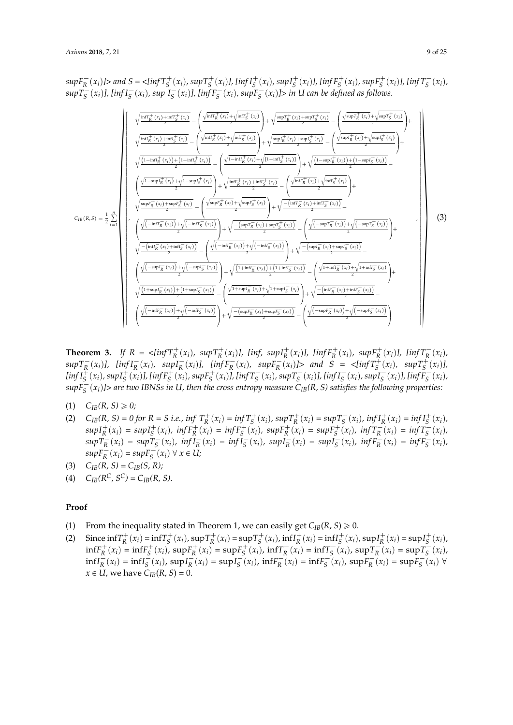$supF_R^-(x_i)$  |> and S = <[inf  $T_S^+(x_i)$ ,  $supT_S^+(x_i)$ ], [inf  $I_S^+(x_i)$ ,  $supI_S^+(x_i)$ ], [inf  $F_S^+(x_i)$ ,  $supF_S^+(x_i)$ ], [inf  $T_S^-(x_i)$ ,  $supT_S^-(x_i)$ ], [ $infT_S^-(x_i)$ , sup  $I_S^-(x_i)$ ], [ $infF_S^-(x_i)$ , sup $F_S^-(x_i)$ ]> in U can be defined as follows. »  $\perp$  $\inf_{R}^{+}(x_i) + \inf_{S}^{+}(x_i)$ *R S*  $\int \frac{\sqrt{\inf T_R^+(x_i)} +$  $\inf T_S^+(x_i)$  $\vert$  $\sup T_R^+(x_i) + \sup T_S^+(x_i)$ *R S*  $\int \frac{\sqrt{\sup T_R^+(x_i)} +$  $\sup T_S^+(x_i)$  $|_{+}$  $\overline{\phantom{a}}$  $\overline{1}$ 

$$
\zeta_{IB}(R,S) = \frac{1}{2} \sum_{i=1}^{n} \left( \frac{\sqrt{\ln t_R^+(x_i) + \min_{\tilde{S}}(x_i)}}{\sqrt{\frac{(\ln t_R^+(x_i) + \ln t_L^+(x_i))}{2}}} - \left( \frac{\sqrt{\ln t_R^+(x_i) + \sqrt{\ln t_S^+(x_i)}}{2} \right) + \sqrt{\frac{\sinh_{\tilde{K}}^+(x_i) + \sinh_{\tilde{S}}^+(x_i)}{2}}{2} + \sqrt{\frac{\sinh_{\tilde{K}}^+(x_i) + \sinh_{\tilde{S}}^+(x_i)}{2}} - \left( \frac{\sqrt{\ln t_R^+(x_i) + \ln t_L^+(x_i) + \sinh_{\tilde{S}}^+(x_i)}}{2} \right) + \sqrt{\frac{(\ln t_R^+(x_i) + \ln t_R^+(x_i))}{2}} + \sqrt{\frac{(\ln t_R^+(x_i) + \sqrt{\ln t_R^+(x_i)})}{2}} - \left( \frac{\sqrt{\ln t_R^+(x_i) + \sqrt{\ln t_R^+(x_i)}}{2} \right) + \sqrt{\frac{(\ln t_R^+(x_i) + \sqrt{\ln t_R^+(x_i)})}{2}} - \left( \frac{\sqrt{\ln t_R^+(x_i) + \sqrt{\ln t_R^+(x_i)}}{2} \right) + \sqrt{\frac{(\ln t_R^-(x_i) + \sqrt{\ln t_R^+(x_i)})}{2}} - \left( \frac{\sqrt{\ln t_R^+(x_i) + \sqrt{\ln t_R^+(x_i)}}{2} \right) + \sqrt{\frac{(\ln t_R^-(x_i) + \sqrt{\ln t_R^-(x_i)})}{2}} - \left( \frac{\sqrt{\ln t_R^-(x_i) + \sqrt{\ln t_R^-(x_i)}}{2} \right) - \left( \frac{\sqrt{(\ln t_R^-(x_i) + \sqrt{\ln t_R^-(x_i)})}}{2} \right) + \sqrt{\frac{(\ln t_R^-(x_i) + \ln t_L^-(x_i))}{2}} - \left( \frac{\sqrt{(\ln t_R^-(x_i) + \sqrt{\ln t_R^-(x_i)})}}{2} \right) + \sqrt{\frac{(\ln t_R^-(x_i) + \sqrt{\ln t_R^-(x_i)})}{2}} - \left( \frac{\sqrt{(\ln t_R^-(x_i) + \sqrt{\ln t_R^-(x_i)})}}{2} \right) + \sqrt{\frac{(\ln t_R^-(x_i) + \sqrt{\ln t_R^-(x_i)})}{2}} - \left( \frac{\sqrt{(\ln t_R^-(x_i) + \sqrt{\ln t
$$

**Theorem 3.** If  $R = \langle \inf T_R^+(x_i), \sup T_R^+(x_i) \rangle$ ,  $[\inf, \sup I_R^+(x_i)]$ ,  $[\inf F_R^+(x_i), \sup F_R^+(x_i) \rangle$ ,  $[\inf T_R^-(x_i), \sup F_R^+(x_i)]$  $supT_R^-(x_i)$ ,  $[infI_R^-(x_i), supI_R^-(x_i)]$ ,  $[infF_R^-(x_i), supF_R^-(x_i)]$  and  $S = \langle infT_S^+(x_i), supT_S^+(x_i)]$ ,  $\left[\inf I_S^+(x_i), \sup I_S^+(x_i)\right]$ ,  $\left[\inf F_S^+(x_i), \sup F_S^+(x_i)\right]$ ,  $\left[\inf T_S^-(x_i), \sup T_S^-(x_i)\right]$ ,  $\left[\inf I_S^-(x_i), \sup I_S^-(x_i)\right]$ ,  $\left[\inf F_S^-(x_i), \sup F_S^-(x_i)\right]$  $supF_S^-(x_i)$ ]> are two IBNSs in U, then the cross entropy measure  $C_{IB}(R, S)$  satisfies the following properties:

- $(C_{IB}(R, S) \ge 0;$
- (2)  $C_{IB}(R, S) = 0$  for  $R = S$  *i.e.*,  $\inf T_R^+(x_i) = \inf T_S^+(x_i)$ ,  $\sup T_R^+(x_i) = \sup T_S^+(x_i)$ ,  $\inf T_R^+(x_i) = \inf I_S^+(x_i)$ ,  $supI_R^+(x_i) = supI_S^+(x_i)$ ,  $infF_R^+(x_i) = infF_S^+(x_i)$ ,  $supF_R^+(x_i) = supF_S^+(x_i)$ ,  $infT_R^-(x_i) = infT_S^-(x_i)$ ,  $supT_R^-(x_i) = supT_S^-(x_i)$ ,  $infT_R^-(x_i) = infT_S^-(x_i)$ ,  $supT_R^-(x_i) = supT_S^-(x_i)$ ,  $infF_R^-(x_i) = infF_S^-(x_i)$ ,  $supF_R^{-}(x_i) = supF_S^{-}(x_i) \ \forall \ x \in U;$
- (3)  $C_{IB}(R, S) = C_{IB}(S, R);$
- (4)  $C_{IB}(R^C, S^C) = C_{IB}(R, S).$

#### **Proof**

- (1) From the inequality stated in Theorem 1, we can easily get  $C_{IB}(R, S) \ge 0$ .
- (2) Since  $\inf_{R} T_{R}^{+}(x_{i}) = \inf_{S} T_{S}^{+}(x_{i})$ ,  $\sup_{R} T_{R}^{+}(x_{i}) = \sup_{S} T_{S}^{+}(x_{i})$ ,  $\inf_{R} T_{R}^{+}(x_{i}) = \inf_{S} T_{S}^{+}(x_{i})$ ,  $\sup_{R} T_{R}^{+}(x_{i}) = \sup_{S} T_{S}^{+}(x_{i})$ ,  $\inf F_R^+(x_i) = \inf F_S^+(x_i)$ ,  $\sup F_R^+(x_i) = \sup F_S^+(x_i)$ ,  $\inf T_R^-(x_i) = \inf T_S^-(x_i)$ ,  $\sup T_R^-(x_i) = \sup T_S^-(x_i)$ ,  $\inf I_R^-(x_i) = \inf I_S^-(x_i)$ ,  $\sup I_R^-(x_i) = \sup I_S^-(x_i)$ ,  $\inf F_R^-(x_i) = \inf F_S^-(x_i)$ ,  $\sup F_R^-(x_i) = \sup F_S^-(x_i)$   $\forall$  $x \in U$ , we have  $C_{IB}(R, S) = 0$ .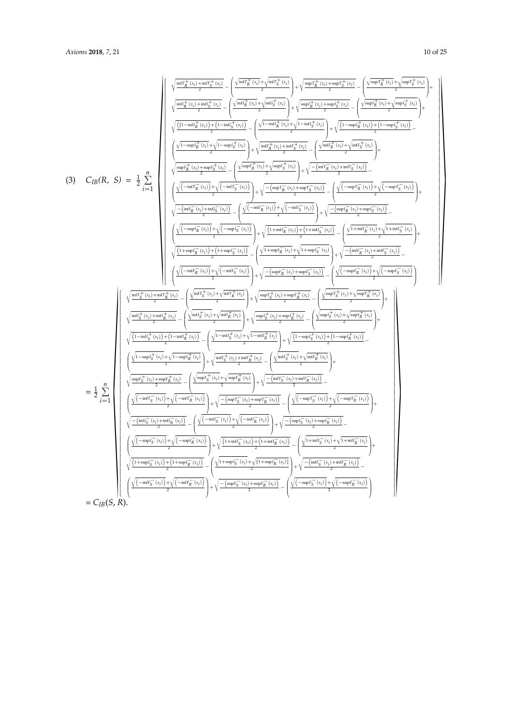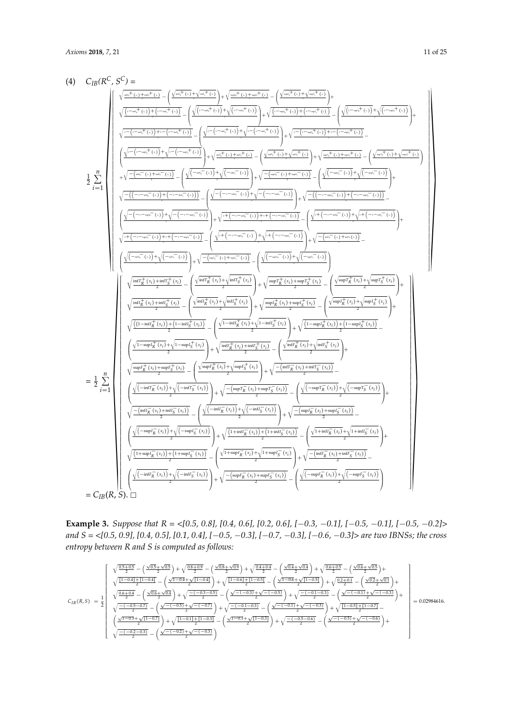

**Example 3.** Suppose that  $R = \langle 0.5, 0.8 \rangle$ , [0.4, 0.6], [0.2, 0.6], [ $-0.3, -0.1$ ], [ $-0.5, -0.1$ ], [ $-0.5, -0.2$ ] > *and S = <[0.5, 0.9], [0.4, 0.5], [0.1, 0.4], [*´*0.5,* ´*0.3], [*´*0.7,* ´*0.3], [*´*0.6,* ´*0.3]> are two IBNSs; the cross entropy between R and S is computed as follows:*

$$
C_{IB}(R,S) = \frac{1}{2} \begin{bmatrix} \sqrt{\frac{0.5+0.5}{2}} - \left(\frac{\sqrt{0.5}+\sqrt{0.5}}{2}\right) + \sqrt{\frac{0.8+0.9}{2}} - \left(\frac{\sqrt{0.8}+\sqrt{0.9}}{2}\right) + \sqrt{\frac{0.4+0.4}{2}} - \left(\frac{\sqrt{0.4}+\sqrt{0.4}}{2}\right) + \sqrt{\frac{0.6+0.5}{2}} - \left(\frac{\sqrt{0.6}+\sqrt{0.5}}{2}\right) + \sqrt{\frac{11-0.4+1\left[1-0.4\right]}{2}} - \left(\frac{\sqrt{1-0.4}+\sqrt{11-0.4\right]} }{2}\right) + \sqrt{\frac{11-0.6+1\left[1-0.5\right]}{2}} - \left(\frac{\sqrt{1-0.6}+\sqrt{11-0.5\right)} }{2}\right) + \sqrt{\frac{0.2+0.1}{2}} - \left(\frac{\sqrt{0.2}+\sqrt{0.1}}{2}\right) + \sqrt{\frac{0.6+0.4}{2}} - \left(\frac{\sqrt{0.6}+\sqrt{0.4}}{2}\right) + \sqrt{\frac{0.6+0.4}{2}} - \left(\frac{\sqrt{0.6}+\sqrt{0.4}}{2}\right) + \sqrt{\frac{0.6+0.4}{2}} - \left(\frac{\sqrt{0.6}+\sqrt{0.4}}{2}\right) + \sqrt{\frac{0.6+0.4}{2}} - \left(\frac{\sqrt{0.6}+\sqrt{0.4}}{2}\right) + \sqrt{\frac{0.6+0.4}{2}} - \left(\frac{\sqrt{0.6}+\sqrt{0.4}}{2}\right) + \sqrt{\frac{0.6+0.4}{2}} - \left(\frac{\sqrt{0.6}+\sqrt{0.4}}{2}\right) + \sqrt{\frac{0.6+0.4}{2}} - \left(\frac{\sqrt{0.6}+\sqrt{0.4}}{2}\right) + \sqrt{\frac{0.6+0.4}{2}} - \left(\frac{\sqrt{0.6}+\sqrt{0.4}}{2}\right) + \sqrt{\frac{0.6+0.4}{2}} - \left(\frac{\sqrt{0.6}+\sqrt{0.4}}{2}\right) + \sqrt{\frac{0.6+0.4}{2}} - \left(\frac{\sqrt{0.6}+\sqrt{0.4}}{2}\right) + \sqrt{\frac{0.6+0.4}{2}} - \left
$$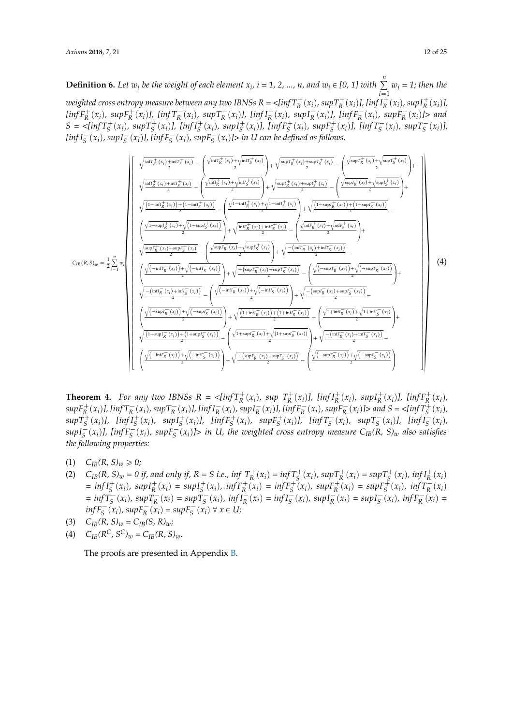**Definition 6.** Let  $w_i$  be the weight of each element  $x_i$ ,  $i = 1, 2, ..., n$ , and  $w_i \in [0, 1]$  with  $\sum_{i=1}^{n} w_i = 1$ ; then the  $i=1$ weighted cross entropy measure between any two IBNSs  $R = \langle \inf T^+_R(x_i), \sup T^+_R(x_i) ]$ , [inf I $^+_R(x_i)$ , sup $I^+_R(x_i)$ ],  $\lim_{R \to \infty} F_R^+(x_i)$ ,  $\sup_{R \to \infty} F_R^+(x_i)$ ,  $\lim_{R \to \infty} T_R^-(x_i)$ ,  $\lim_{R \to \infty} I_R^-(x_i)$ ,  $\sup_{R \to \infty} I_R^-(x_i)$ ,  $\lim_{R \to \infty} F_R^-(x_i)$  and  $S = \langle \text{inf} T_S^+(x_i), \text{ sup} T_S^+(x_i) \rangle, \text{ } \text{inf} I_S^+(x_i), \text{ sup} I_S^+(x_i) \rangle, \text{ } \text{inf} F_S^+(x_i), \text{ sup} F_S^+(x_i) \rangle, \text{ } \text{inf} T_S^-(x_i), \text{ sup} T_S^-(x_i) \rangle,$  $\lim_{s \to s} I_S^-(x_i)$ ,  $\lim_{s \to s} I_S^-(x_i)$ ,  $\lim_{s \to s} I_S^-(x_i)$  in U can be defined as follows.

$$
C_{IB}(R,S)_{w} = \frac{1}{2} \sum_{i=1}^{n} w_{i}
$$
\n
$$
\sqrt{\frac{\inf_{K}^{+}(x_{i}) + \inf_{S}^{+}(x_{i})}{2}} - \left(\frac{\sqrt{\inf_{K}^{+}(x_{i})} + \sqrt{\inf_{S}^{+}(x_{i})}}{2}\right) + \sqrt{\frac{\sup_{K}^{+}(x_{i}) + \sup_{S}^{+}(x_{i})}{2}} - \left(\frac{\sqrt{\sup_{K}^{+}(x_{i})} + \sqrt{\sup_{S}^{+}(x_{i})}}{2}\right) + \sqrt{\frac{\sup_{K}^{+}(x_{i}) + \sup_{S}^{+}(x_{i})}{2}} - \left(\frac{\sqrt{\sup_{K}^{+}(x_{i})} + \sqrt{\sup_{S}^{+}(x_{i})}}{2}\right) + \sqrt{\frac{\sup_{K}^{+}(x_{i}) + \sup_{S}^{+}(x_{i})}{2}} - \left(\frac{\sqrt{\sup_{K}^{+}(x_{i})} + \sqrt{\sup_{S}^{+}(x_{i})}}{2}\right) + \sqrt{\frac{\left(1 - \inf_{K}^{+}(x_{i})\right) + \left(1 - \inf_{S}^{+}(x_{i})\right)}{2}} - \left(\frac{\sqrt{\inf_{K}^{+}(x_{i})} + \sqrt{\lim_{S}^{+}(x_{i})}}{2}\right) + \sqrt{\frac{\left(1 - \sup_{K}^{+}(x_{i}) + \sqrt{\lim_{S}^{+}(x_{i})}\right)}{2}} - \left(\frac{\sqrt{\inf_{K}^{+}(x_{i})} + \sqrt{\lim_{S}^{+}(x_{i})}}{2}\right) + \sqrt{\frac{\left(\frac{\lim_{K}^{+}(x_{i}) + \sin\left(\frac{\pi}{2}\right)}{2}\right) + \sqrt{\frac{\left(\frac{\lim_{K}^{+}(x_{i}) + \sin\left(\frac{\pi}{2}\right)}{2}\right)}{2}} - \left(\frac{\sqrt{\lim_{K}^{+}(x_{i})} + \sqrt{\lim_{K}^{+}(x_{i})} + \sqrt{\lim_{K}^{+}(x_{i})}}{2}\right) + \sqrt{\frac{\left(-\inf_{K}^{-}(x_{i}) + \sup_{K}^{-}(x_{i})\right)}{2}} - \left(\frac{\sqrt{\left(-\sup_{K}^{+}(x_{i}) + \sup_{K}^{+}(x_{i})}\right) + \sqrt{\left(-\sup_{K}^{+}(x_{i})\right) + \sqrt{\left(-\sup_{K}^{+}(
$$

**Theorem 4.** For any two IBNSs  $R = \langle \inf T_R^+(x_i), \sup T_R^+(x_i) \rangle$ ,  $\lim f_R^+(x_i), \sup I_R^+(x_i), \lim f_R^+(x_i) \rangle$  $supF_R^+(x_i)$ ], [ $infT_R^-(x_i)$ ,  $supT_R^-(x_i)$ ], [ $infI_R^-(x_i)$ ,  $supI_R^-(x_i)$ ], [ $infF_R^-(x_i)$ ,  $supF_R^-(x_i)$ ]> and  $S = \langle infT_S^+(x_i)$ ,  $supT_S^+(x_i)$ ], [ $infT_S^+(x_i)$ ,  $supT_S^+(x_i)$ ], [ $infF_S^+(x_i)$ ,  $supF_S^+(x_i)$ ], [ $infT_S^-(x_i)$ ,  $supT_S^-(x_i)$ ], [ $infT_S^-(x_i)$ ,  $supI_{S}^{-}(x_{i})$ ], [inf $F_{S}^{-}(x_{i})$ , sup $F_{S}^{-}(x_{i})$ ]> in U, the weighted cross entropy measure  $C_{IB}(R, S)_{w}$  also satisfies *the following properties:*

- (1)  $C_{IB}(R, S)_{w} \ge 0;$
- (2)  $C_{IB}(R, S)_w = 0$  if, and only if,  $R = S$  i.e., inf  $T_R^+(x_i) = \inf T_S^+(x_i)$ ,  $\sup T_R^+(x_i) = \sup T_S^+(x_i)$ ,  $\inf I_R^+(x_i)$  $= inf I_S^+(x_i)$ ,  $sup I_R^+(x_i) = sup I_S^+(x_i)$ ,  $inf F_R^+(x_i) = inf F_S^+(x_i)$ ,  $sup F_R^+(x_i) = sup F_S^+(x_i)$ ,  $inf T_R^-(x_i)$  $= \inf T_S^-(x_i)$ ,  $\sup T_R^-(x_i) = \sup T_S^-(x_i)$ ,  $\inf T_R^-(x_i) = \inf T_S^-(x_i)$ ,  $\sup T_R^-(x_i) = \sup T_S^-(x_i)$ ,  $\inf F_R^-(x_i) =$  $\inf F_S^-(x_i)$ ,  $\sup F_R^-(x_i) = \sup F_S^-(x_i) \ \forall \ x \in U;$
- (3)  $C_{IB}(R, S)_{w} = C_{IB}(S, R)_{w}$ ;
- (4)  $C_{IB}(R^C, S^C)_{w} = C_{IB}(R, S)_{w}$ .

The proofs are presented in Appendix [B.](#page-18-0)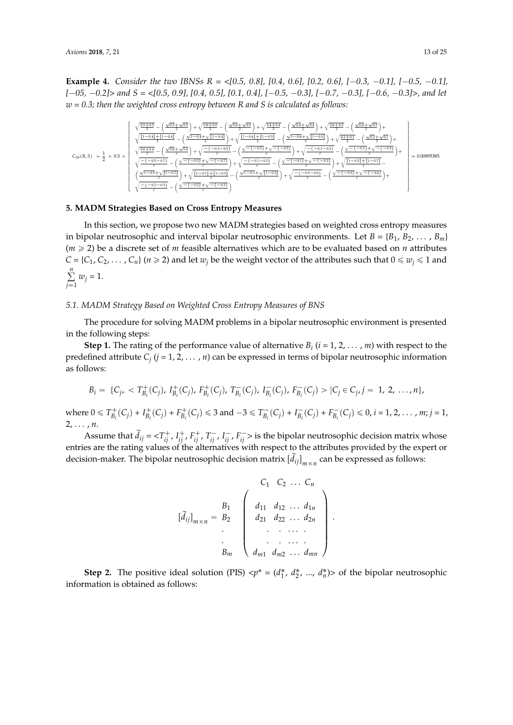**Example 4.** *Consider the two IBNSs R = <[0.5, 0.8], [0.4, 0.6], [0.2, 0.6], [* $-0.3$ *,*  $-0.1$ *], [* $-0.5$ *,*  $-0.1$ *], [*´*05,* ´*0.2]> and S = <[0.5, 0.9], [0.4, 0.5], [0.1, 0.4], [*´*0.5,* ´*0.3], [*´*0.7,* ´*0.3], [*´*0.6,* ´*0.3]>, and let w = 0.3; then the weighted cross entropy between R and S is calculated as follows:*

$$
C_{IB}(R,S) \ = \frac{1}{2} \times 0.3 \times \left[\begin{array}{c} \sqrt{\frac{0.5+0.5}{2}}-\left(\frac{\sqrt{0.5}+\sqrt{0.5}}{2}\right)+\sqrt{\frac{0.8+0.9}{2}}-\left(\frac{\sqrt{0.5}+\sqrt{0.9}}{2}\right)+\sqrt{\frac{0.4+0.4}{2}}-\left(\frac{\sqrt{0.4}+\sqrt{0.4}}{2}\right)+\sqrt{\frac{0.6+0.5}{2}}-\left(\frac{\sqrt{0.6}+\sqrt{0.5}}{2}\right)+\sqrt{\frac{0.6+0.5}{2}}-\left(\frac{\sqrt{0.6}+\sqrt{0.5}}{2}\right)+\sqrt{\frac{0.6+0.5}{2}}-\left(\frac{\sqrt{1-0.4}+\sqrt{1-0.4}}{2}\right)+\sqrt{\frac{1-0.4+\sqrt{1-0.4}}{2}}-\left(\frac{\sqrt{1-0.6}+\sqrt{1-0.5}}{2}\right)+\sqrt{\frac{0.2+0.1}{2}}-\left(\frac{\sqrt{0.2}+\sqrt{0.1}}{2}\right)+\sqrt{\frac{0.6+\sqrt{0.4}}{2}}-\left(\frac{\sqrt{0.6}+\sqrt{0.4}}{2}\right)+\sqrt{\frac{0.6+\sqrt{0.4}}{2}}-\left(\frac{\sqrt{0.6}+\sqrt{0.4}}{2}\right)+\sqrt{\frac{0.6+\sqrt{0.4}}{2}}-\left(\frac{\sqrt{0.6}+\sqrt{0.4}}{2}\right)+\sqrt{\frac{0.6+\sqrt{0.4}}{2}}-\left(\frac{\sqrt{0.6}+\sqrt{0.4}}{2}\right)+\sqrt{\frac{0.6+\sqrt{0.4}}{2}}-\left(\frac{\sqrt{0.6}+\sqrt{0.4}}{2}\right)+\sqrt{\frac{0.6+\sqrt{0.4}}{2}}-\left(\frac{\sqrt{0.6}+\sqrt{0.4}}{2}\right)+\sqrt{\frac{0.6+\sqrt{0.4}}{2}}-\left(\frac{\sqrt{0.6}+\sqrt{0.4}}{2}\right)+\sqrt{\frac{0.6+\sqrt{0.4}}{2}}-\left(\frac{\sqrt{0.6}+\sqrt{0.4}}{2}\right)+\sqrt{\frac{0.6+\sqrt{0.4}}{2}}-\left(\frac{\sqrt{0.6}+\sqrt{0.4}}{2}\right)+\sqrt{\frac{0.6+\sqrt{0.4}}{2}}-\left(\frac{\sqrt{0.6}+\sqrt{0.4}}{2
$$

#### <span id="page-12-0"></span>**5. MADM Strategies Based on Cross Entropy Measures**

In this section, we propose two new MADM strategies based on weighted cross entropy measures in bipolar neutrosophic and interval bipolar neutrosophic environments. Let  $B = \{B_1, B_2, \ldots, B_m\}$  $(m \geq 2)$  be a discrete set of *m* feasible alternatives which are to be evaluated based on *n* attributes  $C = \{C_1, C_2, \dots, C_n\}$  ( $n \ge 2$ ) and let  $w_j$  be the weight vector of the attributes such that  $0 \le w_j \le 1$  and ř*n*  $\sum_{j=1}^{\infty} w_j = 1.$ 

# *5.1. MADM Strategy Based on Weighted Cross Entropy Measures of BNS*

The procedure for solving MADM problems in a bipolar neutrosophic environment is presented in the following steps:

**Step 1.** The rating of the performance value of alternative  $B_i$  ( $i = 1, 2, ..., m$ ) with respect to the predefined attribute *C<sup>j</sup>* (*j* = 1, 2, . . . , *n*) can be expressed in terms of bipolar neutrosophic information as follows:

$$
B_i = \{C_j, < T_{B_i}^+(C_j), \ I_{B_i}^+(C_j), \ F_{B_i}^+(C_j), \ T_{B_i}^-(C_j), \ I_{B_i}^-(C_j), \ F_{B_i}^-(C_j) > |C_j \in C_j, j = 1, 2, \ldots, n\},\
$$

where  $0 \leq T_{B_i}^+(C_j) + I_{B_i}^+(C_j) + F_{B_i}^+(C_j) \leq 3$  and  $-3 \leq T_{B_i}^-(C_j) + I_{B_i}^-(C_j) + F_{B_i}^-(C_j) \leq 0$ ,  $i = 1, 2, ..., m; j = 1$ , 2, . . . , *n*.

Assume that  $\widetilde{d}_{ij} = \langle T^+_{ij}, I^+_{ij}, F^+_{ij}, T^-_{ij}, I^-_{ij}, F^-_{ij} \rangle$  is the bipolar neutrosophic decision matrix whose entries are the rating values of the alternatives with respect to the attributes provided by the expert or decision-maker. The bipolar neutrosophic decision matrix  $[\tilde{d}_{ij}]_{m \times n}$  can be expressed as follows:

$$
[\tilde{d}_{ij}]_{m \times n} = \begin{array}{c} B_1 \\ B_2 \\ \vdots \\ B_m \end{array} \left( \begin{array}{cccc} C_1 & C_2 & \dots & C_n \\ d_{11} & d_{12} & \dots & d_{1n} \\ d_{21} & d_{22} & \dots & d_{2n} \\ \vdots & \vdots & \ddots & \vdots \\ d_{m1} & d_{m2} & \dots & d_{mn} \end{array} \right).
$$

**Step 2.** The positive ideal solution (PIS)  $\langle p^* = (d_1^*, d_2^*, ..., d_n^*) \rangle$  of the bipolar neutrosophic information is obtained as follows: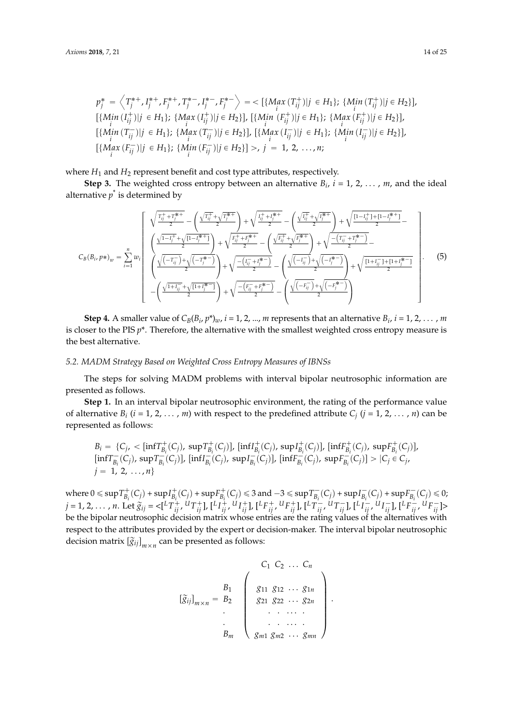$$
p_j^* = \left\langle T_j^{*+}, I_j^{*+}, F_j^{*-}, T_j^{*-}, I_j^{*-}, F_j^{*-} \right\rangle = \left\{ \left\{ \underset{i}{\text{Max}} \left( T_{ij}^+ \right) \middle| j \in H_1 \right\}; \{ \underset{i}{\text{Min}} \left( T_{ij}^+ \right) \middle| j \in H_2 \} \right\},
$$
\n
$$
\left\{ \underset{i}{\text{Min}} \left( I_{ij}^+ \right) \middle| j \in H_1 \right\}; \{ \underset{i}{\text{Max}} \left( I_{ij}^+ \right) \middle| j \in H_2 \} \right\}, \left\{ \underset{i}{\text{Min}} \left( F_{ij}^+ \right) \middle| j \in H_1 \} ; \{ \underset{i}{\text{Max}} \left( F_{ij}^+ \right) \middle| j \in H_2 \} \right\},
$$
\n
$$
\left\{ \underset{i}{\text{Min}} \left( T_{ij}^- \right) \middle| j \in H_1 \} ; \{ \underset{i}{\text{Max}} \left( T_{ij}^- \right) \middle| j \in H_2 \} \right\}, \left\{ \underset{i}{\text{Max}} \left( I_{ij}^- \right) \middle| j \in H_1 \} ; \{ \underset{i}{\text{Min}} \left( I_{ij}^- \right) \middle| j \in H_2 \} \right\},
$$
\n
$$
\left\{ \underset{i}{\text{Max}} \left( F_{ij}^- \right) \middle| j \in H_1 \} ; \{ \underset{i}{\text{Min}} \left( F_{ij}^- \right) \middle| j \in H_2 \} \right\} > , j = 1, 2, \dots, n;
$$

where  $H_1$  and  $H_2$  represent benefit and cost type attributes, respectively.

**Step 3.** The weighted cross entropy between an alternative  $B_i$ ,  $i = 1, 2, \ldots$ , m, and the ideal alternative  $p^*$  is determined by

$$
C_{B}(B_{i}, p*)_{w} = \sum_{i=1}^{n} w_{i} \left[ \begin{array}{c} \sqrt{\frac{T_{ij}^{+} + T_{j}^{*+}}{2}} - \left( \frac{\sqrt{T_{ij}^{+}} + \sqrt{T_{j}^{*+}}}{2} \right) + \sqrt{\frac{I_{ij}^{+} + I_{j}^{*+}}{2}} - \left( \frac{\sqrt{I_{ij}^{+}} + \sqrt{I_{j}^{*+}}}{2} \right) + \sqrt{\frac{[1 - I_{ij}^{+}] + [1 - I_{j}^{*+}}{2}} - \frac{I_{ij}^{+} + I_{ij}^{+} + I_{ij}^{+}}{2} \right) \end{array} \right]
$$
  
\n
$$
C_{B}(B_{i}, p*)_{w} = \sum_{i=1}^{n} w_{i} \left[ \begin{array}{c} \sqrt{1 - I_{j}^{+}} + \sqrt{[1 - I_{j}^{*+}} \right) + \sqrt{\frac{F_{ij}^{+} + F_{j}^{*+}}{2}} - \left( \frac{\sqrt{F_{ij}^{+}} + \sqrt{F_{j}^{*+}}}{2} \right) + \sqrt{\frac{-(I_{ij}^{-} + T_{j}^{*+}}{2}} - \frac{I_{ij}^{+} + I_{ij}^{+} + I_{ij}^{+}}{2} \right) \end{array} \right]
$$
  
\n
$$
- \left( \frac{\sqrt{1 + I_{ij}^{-}} + \sqrt{[1 + I_{j}^{*+}} \right)}{2} + \sqrt{\frac{-(F_{ij}^{-} + F_{j}^{*+}}{2}} - \left( \frac{\sqrt{(-I_{ij}^{-}}) + \sqrt{(-F_{j}^{*-}} \right)}{2} + \sqrt{\frac{[1 + I_{ij}^{-} + [1 + I_{j}^{*+}}{2}} \right)} \right].
$$
\n(5)

**Step 4.** A smaller value of  $C_B(B_i, p^*)$ *w*, *i* = 1, 2, ..., *m* represents that an alternative  $B_i$ , *i* = 1, 2, ..., *m* is closer to the PIS  $p^*$ . Therefore, the alternative with the smallest weighted cross entropy measure is the best alternative.

# *5.2. MADM Strategy Based on Weighted Cross Entropy Measures of IBNSs*

The steps for solving MADM problems with interval bipolar neutrosophic information are presented as follows.

**Step 1.** In an interval bipolar neutrosophic environment, the rating of the performance value of alternative  $B_i$  ( $i = 1, 2, ..., m$ ) with respect to the predefined attribute  $C_j$  ( $j = 1, 2, ..., n$ ) can be represented as follows:

$$
B_i = \{C_j, < [\inf T^+_{B_i}(C_j), \sup T^+_{B_i}(C_j)], [\inf I^+_{B_i}(C_j), \sup I^+_{B_i}(C_j)], [\inf F^+_{B_i}(C_j), \sup F^+_{B_i}(C_j)], \\ [\inf T^-_{B_i}(C_j), \sup T^-_{B_i}(C_j)], [\inf T^-_{B_i}(C_j), \sup I^-_{B_i}(C_j)], [\inf F^-_{B_i}(C_j), \sup F^-_{B_i}(C_j)] > |C_j \in C_j, \\ j = 1, 2, \ldots, n \}
$$

where  $0 \le \sup T_{B_i}^+(C_j) + \sup I_{B_i}^+(C_j) + \sup F_{B_i}^+(C_j) \le 3$  and  $-3 \le \sup T_{B_i}^-(C_j) + \sup I_{B_i}^-(C_j) + \sup F_{B_i}^-(C_j) \le 0$ ;  $j = 1, 2, ..., n$ . Let  $\widetilde{g}_{ij} = \langle [{}^L T^+_{ij}, {}^U T^+_{ij}] , [{}^L I^+_{ij}, {}^U I^+_{ij}] , [{}^L F^+_{ij}, {}^U F^+_{ij}] , [{}^L T^-_{ij}, {}^U T^-_{ij}] , [{}^L I^-_{ij}, {}^U I^-_{ij}] , [{}^L F^-_{ij}, {}^U F^-_{ij}] \rangle$ be the bipolar neutrosophic decision matrix whose entries are the rating values of the alternatives with respect to the attributes provided by the expert or decision-maker. The interval bipolar neutrosophic decision matrix  $\left[\widetilde{g}_{ij}\right]_{m\times n}$  can be presented as follows:

$$
[\widetilde{g}_{ij}]_{m \times n} = \begin{array}{c} B_1 \\ B_2 \\ \vdots \\ B_m \end{array} \left( \begin{array}{c} C_1 \ C_2 \ \ldots \ C_n \\ g_{11} \ g_{12} \ \ldots \ g_{1n} \\ g_{21} \ g_{22} \ \ldots \ g_{2n} \\ \vdots \\ g_{m1} \ g_{m2} \ \ldots \ g_{mn} \end{array} \right)
$$

.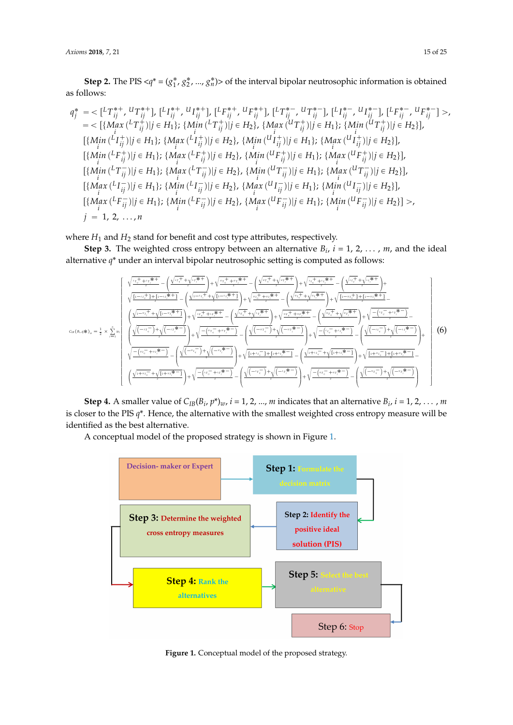**Step 2.** The PIS  $\langle q^* = (g_1^*, g_2^*, ..., g_n^*) \rangle$  of the interval bipolar neutrosophic information is obtained as follows:

$$
q_{j}^{*} = \langle \left[ {}^{L}T_{ij}^{*+}, {}^{U}T_{ij}^{*+} \right], \left[ {}^{L}I_{ij}^{*+}, {}^{U}I_{ij}^{*+} \right], \left[ {}^{L}F_{ij}^{*+}, {}^{U}F_{ij}^{*+} \right], \left[ {}^{L}T_{ij}^{*-}, {}^{U}T_{ij}^{*-} \right], \left[ {}^{L}I_{ij}^{*-}, {}^{U}I_{ij}^{*-} \right], \left[ {}^{L}F_{ij}^{*-}, {}^{U}F_{ij}^{*-} \right] > ,
$$
\n
$$
= \langle \left[ \langle Max \left( {}^{L}T_{ij}^{+} \right) \right] | j \in H_{1} \right]; \left\{ Min \left( {}^{L}T_{ij}^{+} \right) | j \in H_{2} \right\}, \left\{ Max \left( {}^{U}T_{ij}^{+} \right) | j \in H_{1} \right\}; \left\{ Min \left( {}^{U}T_{ij}^{+} \right) | j \in H_{2} \right\}, \left\{ Min \left( {}^{U}T_{ij}^{+} \right) | j \in H_{2} \right\}, \left\{ Min \left( {}^{U}T_{ij}^{+} \right) | j \in H_{2} \right\}, \left\{ Min \left( {}^{U}T_{ij}^{+} \right) | j \in H_{2} \right\}, \left\{ Min \left( {}^{U}T_{ij}^{+} \right) | j \in H_{2} \right\}, \left\{ Min \left( {}^{U}T_{ij}^{+} \right) | j \in H_{2} \right\}, \left\{ Min \left( {}^{U}T_{ij}^{-} \right) | j \in H_{2} \right\}, \left\{ Min \left( {}^{U}T_{ij}^{-} \right) | j \in H_{2} \right\}, \left\{ Min \left( {}^{U}T_{ij}^{-} \right) | j \in H_{2} \right\}, \left\{ Min \left( {}^{U}T_{ij}^{-} \right) | j \in H_{2} \right\}, \left\{ Min \left( {}^{U}T_{ij}^{-} \right) | j \in H_{2} \right\}, \left\{ Min \left( {}^{U}T_{ij}^{-} \right) | j \in H_{2} \right\}, \left\{ Min \left( {}^{U}T_{ij}^{-} \right) | j \in H_{2} \right\}, \left\{ Min \left( {}^{U}T_{
$$

where *H*<sub>1</sub> and *H*<sub>2</sub> stand for benefit and cost type attributes, respectively.

**Step 3.** The weighted cross entropy between an alternative  $B_i$ ,  $i = 1, 2, ..., m$ , and the ideal alternative *q*\* under an interval bipolar neutrosophic setting is computed as follows:

$$
c_{\text{in}}(B_{i},q\ast)_{\omega} = \frac{1}{2} \times \sum_{i=1}^{\infty} w_i \left( \frac{\sqrt{1-v_{ij}^{+} + v_{ij}^{+}\ast \frac{1}{2}} - \left(\frac{\sqrt{1-v_{ij}^{+} + v_{ij}^{+}\ast \frac{1}{2}} - \left(\frac{\sqrt{1-v_{ij}^{+} + v_{ij}^{+}\ast \frac{1}{2}} - \left(\frac{\sqrt{1-v_{ij}^{+} + v_{ij}^{+}\ast \frac{1}{2}} - \left(\frac{\sqrt{1-v_{ij}^{+} + v_{ij}^{+}\ast \frac{1}{2}} - \left(\frac{\sqrt{1-v_{ij}^{+} + v_{ij}^{+}\ast \frac{1}{2}} - \left(\frac{\sqrt{1-v_{ij}^{+} + v_{ij}^{+}\ast \frac{1}{2}} - \left(\frac{\sqrt{1-v_{ij}^{+} + v_{ij}^{+}\ast \frac{1}{2}} - \left(\frac{\sqrt{1-v_{ij}^{+} + v_{ij}^{+}\ast \frac{1}{2}} - \left(\frac{\sqrt{1-v_{ij}^{+} + v_{ij}^{+}\ast \frac{1}{2}} - \left(\frac{\sqrt{1-v_{ij}^{+} + v_{ij}^{+}\ast \frac{1}{2}} - \left(\frac{\sqrt{1-v_{ij}^{+} + v_{ij}^{+}\ast \frac{1}{2}} - \left(\frac{\sqrt{1-v_{ij}^{+} + v_{ij}^{+}\ast \frac{1}{2}} - \left(\frac{\sqrt{1-v_{ij}^{+} + v_{ij}^{+}\ast \frac{1}{2}} - \left(\frac{\sqrt{1-v_{ij}^{+} + v_{ij}^{+}\ast \frac{1}{2}} - \left(\frac{\sqrt{1-v_{ij}^{+} + v_{ij}^{+}\ast \frac{1}{2}} - \left(\frac{\sqrt{1-v_{ij}^{+} + v_{ij}^{+}\ast \frac{1}{2}} - \left(\frac{\sqrt{1-v_{ij}^{+} + v_{ij}^{+}\ast \frac{1}{2}} - \left(\frac{\sqrt{1-v_{ij}^{+} + v_{ij}^{+}\ast \frac{1}{2}} - \left(\frac{\sqrt{1-v_{ij}^{+} + v_{ij}^{+}\ast \frac{1}{2}} - \left(\frac{\sqrt{1-v_{ij}^{+} + v_{ij}^{+}\ast \frac{1}{2}} - \left(\frac{\sqrt{1-v_{ij}^{+} + v_{ij}^{+}\ast \frac{1}{2}} - \left(\frac{\sqrt{1-v_{
$$

**Step 4.** A smaller value of  $C_{IB}(B_i, p^*)_w$ ,  $i = 1, 2, ..., m$  indicates that an alternative  $B_i$ ,  $i = 1, 2, ..., m$ is closer to the PIS *q*\*. Hence, the alternative with the smallest weighted cross entropy measure will be identified as the best alternative.

<span id="page-14-0"></span>A conceptual model of the proposed strategy is shown in Figure [1.](#page-14-0)



**Figure 1.** Conceptual model of the proposed strategy.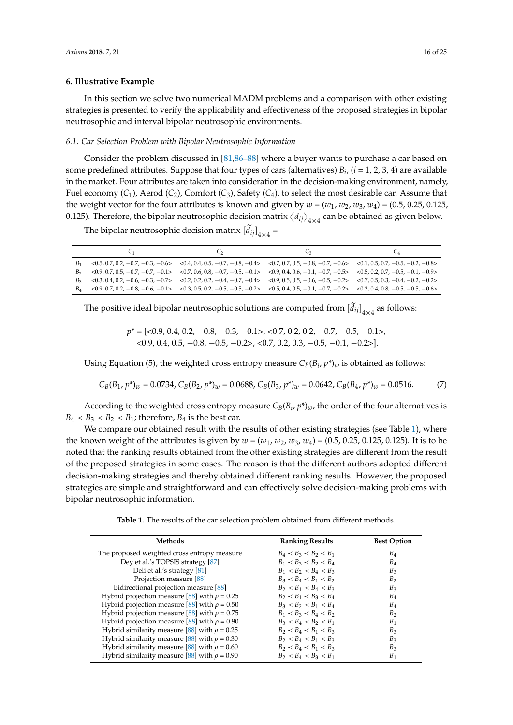#### <span id="page-15-0"></span>**6. Illustrative Example**

In this section we solve two numerical MADM problems and a comparison with other existing strategies is presented to verify the applicability and effectiveness of the proposed strategies in bipolar neutrosophic and interval bipolar neutrosophic environments.

#### *6.1. Car Selection Problem with Bipolar Neutrosophic Information*

Consider the problem discussed in [\[81](#page-23-12)[,86](#page-23-17)[–88\]](#page-23-19) where a buyer wants to purchase a car based on some predefined attributes. Suppose that four types of cars (alternatives) *B<sup>i</sup>* , (*i* = 1, 2, 3, 4) are available in the market. Four attributes are taken into consideration in the decision-making environment, namely, Fuel economy (*C*1), Aerod (*C*2), Comfort (*C*3), Safety (*C*4), to select the most desirable car. Assume that the weight vector for the four attributes is known and given by  $w = (w_1, w_2, w_3, w_4) = (0.5, 0.25, 0.125,$ the weight vector for the four attributes is known and given by  $w = (w_1, w_2, w_3, w_4) = (0.5, 0.25, 0.125)$ . Therefore, the bipolar neutrosophic decision matrix  $\langle d_{ij} \rangle_{4 \times 4}$  can be obtained as given below.

The bipolar neutrosophic decision matrix  $\left[\tilde{d}_{ij}\right]_{4\times4}$  =

|                |                                                                                                                                                 | C٥                                                                                                                                              | Uз. | $C_4$ |
|----------------|-------------------------------------------------------------------------------------------------------------------------------------------------|-------------------------------------------------------------------------------------------------------------------------------------------------|-----|-------|
| $B_{1}$        |                                                                                                                                                 | $(0.5, 0.7, 0.2, -0.7, -0.3, -0.6)$ $(0.4, 0.4, 0.5, -0.7, -0.8, -0.4)$ $(0.7, 0.7, 0.5, -0.8, -0.7, -0.6)$ $(0.1, 0.5, 0.7, -0.5, -0.2, -0.8)$ |     |       |
|                | $B_2$ <0.9, 0.7, 0.5, -0.7, -0.7, -0.1> <0.7, 0.6, 0.8, -0.7, -0.5, -0.1> <0.9, 0.4, 0.6, -0.1, -0.7, -0.5> <0.5, 0.2, 0.7, -0.5, -0.1, -0.9>   |                                                                                                                                                 |     |       |
|                | $B_3$ <0.3, 0.4, 0.2, -0.6, -0.3, -0.7> <0.2, 0.2, 0.2, -0.4, -0.7, -0.4> <0.9, 0.5, 0.5, -0.6, -0.5, -0.2> <0.7, 0.5, 0.3, -0.4, -0.2, -0.2>   |                                                                                                                                                 |     |       |
| B <sub>A</sub> | $(0.9, 0.7, 0.2, -0.8, -0.6, -0.1)$ $(0.3, 0.5, 0.2, -0.5, -0.5, -0.2)$ $(0.5, 0.4, 0.5, -0.1, -0.7, -0.2)$ $(0.2, 0.4, 0.8, -0.5, -0.5, -0.6)$ |                                                                                                                                                 |     |       |

The positive ideal bipolar neutrosophic solutions are computed from  ${\tilde{[d_{ij}]}_{4\times4}}$  as follows:

*p*\* =  $[<0.9, 0.4, 0.2, -0.8, -0.3, -0.1$ >, <0.7, 0.2, 0.2, -0.7, -0.5, -0.1>,  $(0.9, 0.4, 0.5, -0.8, -0.5, -0.2)$ ,  $(0.7, 0.2, 0.3, -0.5, -0.1, -0.2)$ .

Using Equation (5), the weighted cross entropy measure  $C_B(B_i, p^*)_w$  is obtained as follows:

$$
C_B(B_1, p^*)_w = 0.0734, C_B(B_2, p^*)_w = 0.0688, C_B(B_3, p^*)_w = 0.0642, C_B(B_4, p^*)_w = 0.0516. \tag{7}
$$

According to the weighted cross entropy measure  $C_B(B_i, p^*)_w$ , the order of the four alternatives is  $B_4 < B_3 < B_2 < B_1$ ; therefore,  $B_4$  is the best car.

We compare our obtained result with the results of other existing strategies (see Table [1\)](#page-15-1), where the known weight of the attributes is given by  $w = (w_1, w_2, w_3, w_4) = (0.5, 0.25, 0.125, 0.125)$ . It is to be noted that the ranking results obtained from the other existing strategies are different from the result of the proposed strategies in some cases. The reason is that the different authors adopted different decision-making strategies and thereby obtained different ranking results. However, the proposed strategies are simple and straightforward and can effectively solve decision-making problems with bipolar neutrosophic information.

**Table 1.** The results of the car selection problem obtained from different methods.

<span id="page-15-1"></span>

| Methods                                           | <b>Ranking Results</b>  | <b>Best Option</b> |
|---------------------------------------------------|-------------------------|--------------------|
| The proposed weighted cross entropy measure       | $B_4 < B_3 < B_2 < B_1$ | $B_4$              |
| Dey et al.'s TOPSIS strategy [87]                 | $B_1 < B_3 < B_2 < B_4$ | $B_4$              |
| Deli et al.'s strategy [81]                       | $B_1 < B_2 < B_4 < B_3$ | $B_3$              |
| Projection measure [88]                           | $B_3 < B_4 < B_1 < B_2$ | B <sub>2</sub>     |
| Bidirectional projection measure [88]             | $B_2 < B_1 < B_4 < B_3$ | $B_3$              |
| Hybrid projection measure [88] with $\rho = 0.25$ | $B_2 < B_1 < B_3 < B_4$ | $B_4$              |
| Hybrid projection measure [88] with $\rho = 0.50$ | $B_3 < B_2 < B_1 < B_4$ | $B_4$              |
| Hybrid projection measure [88] with $\rho = 0.75$ | $B_1 < B_3 < B_4 < B_2$ | B <sub>2</sub>     |
| Hybrid projection measure [88] with $\rho = 0.90$ | $B_3 < B_4 < B_2 < B_1$ | $B_1$              |
| Hybrid similarity measure [88] with $\rho = 0.25$ | $B_2 < B_4 < B_1 < B_3$ | $B_3$              |
| Hybrid similarity measure [88] with $\rho = 0.30$ | $B_2 < B_4 < B_1 < B_3$ | $B_3$              |
| Hybrid similarity measure [88] with $\rho = 0.60$ | $B_2 < B_4 < B_1 < B_3$ | $B_3$              |
| Hybrid similarity measure [88] with $\rho = 0.90$ | $B_2 < B_4 < B_3 < B_1$ | B <sub>1</sub>     |
|                                                   |                         |                    |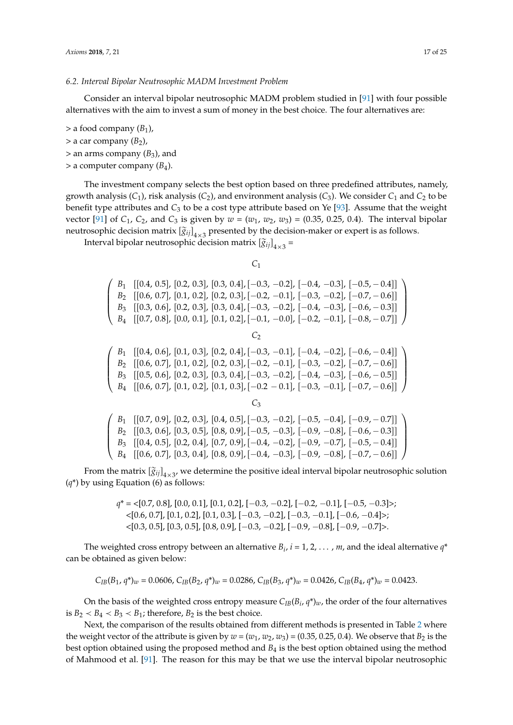#### *6.2. Interval Bipolar Neutrosophic MADM Investment Problem*

Consider an interval bipolar neutrosophic MADM problem studied in [\[91\]](#page-24-0) with four possible alternatives with the aim to invest a sum of money in the best choice. The four alternatives are:

 $>$  a food company  $(B_1)$ ,

 $>$  a car company  $(B_2)$ ,

 $>$  an arms company ( $B_3$ ), and

> a computer company (*B*4).

The investment company selects the best option based on three predefined attributes, namely, growth analysis  $(C_1)$ , risk analysis  $(C_2)$ , and environment analysis  $(C_3)$ . We consider  $C_1$  and  $C_2$  to be benefit type attributes and *C*<sup>3</sup> to be a cost type attribute based on Ye [\[93\]](#page-24-2). Assume that the weight vector [\[91\]](#page-24-0) of *C*<sub>1</sub>, *C*<sub>2</sub>, and *C*<sub>3</sub> is given by  $w = (w_1, w_2, w_3) = (0.35, 0.25, 0.4)$ . The interval bipolar neutrosophic decision matrix  $\left[\widetilde{g}_{ij}\right]_{4\times 3}$  presented by the decision-maker or expert is as follows.

Interval bipolar neutrosophic decision matrix  $\left[\widetilde{g}_{ij}\right]_{4\times3}$  =

*C*1

¨  $\begin{cases}\nB_1 \quad \text{[(0.4, 0.5], [0.2, 0.3], [0.3, 0.4], [-0.3, -0.2], [-0.4, -0.3], [-0.5, -0.4],}\n\end{cases}$   $B_2 \quad \text{[(0.6, 0.7], [0.1, 0.2], [0.2, 0.3], [-0.2, -0.1], [-0.3, -0.2], [-0.7, -0.6]]}\nB_3 \quad \text{[(0.3, 0.6], [0.2, 0.3], [0.3, 0.4], [-0.3, -0.2], [-0.4, -0.3], [-0.6, -0.$  $B_2$  [[0.6, 0.7], [0.1, 0.2], [0.2, 0.3], [-0.2, -0.1], [-0.3, -0.2], [-0.7, - 0.6]] *B*<sub>3</sub> [[0.3, 0.6], [0.2, 0.3], [0.3, 0.4], [-0.3, -0.2], [-0.4, -0.3], [-0.6, - 0.3]] *B*<sub>4</sub> [[0.7, 0.8], [0.0, 0.1], [0.1, 0.2], [-0.1, -0.0], [-0.2, -0.1], [-0.8, - 0.7]] ˛  $\Big\}$ C<sub>2</sub>  $\begin{cases}\nB_1 \quad \text{[[0.4, 0.6], [0.1, 0.3], [0.2, 0.4], [-0.3, -0.1], [-0.4, -0.2], [-0.6, -0.4]] \\
B_2 \quad \text{[[0.6, 0.7], [0.1, 0.2], [0.2, 0.3], [-0.2, -0.1], [-0.3, -0.2], [-0.7, -0.6]]} \\
B_3 \quad \text{[[0.5, 0.6], [0.2, 0.3], [0.3, 0.4], [-0.3, -0.2], [-0.4, -0.3], [-0.6, -0.5]]}\n\end{cases}$  $B_2$  [[0.6, 0.7], [0.1, 0.2], [0.2, 0.3], [-0.2, -0.1], [-0.3, -0.2], [-0.7, - 0.6]]  $B_3$  [[0.5, 0.6], [0.2, 0.3], [0.3, 0.4], [-0.3, -0.2], [-0.4, -0.3], [-0.6, -0.5]]  $B_4$  [[0.6, 0.7], [0.1, 0.2], [0.1, 0.3], [-0.2 - 0.1], [-0.3, -0.1], [-0.7, - 0.6]]  $\Big\}$ *C*3  $\begin{cases}\nB_1 \quad \text{[(0.7, 0.9], [0.2, 0.3], [0.4, 0.5], [-0.3, -0.2], [-0.5, -0.4], [-0.9, -0.7],}\n\end{cases}$   $B_2 \quad \text{[(0.3, 0.6], [0.3, 0.5], [0.8, 0.9], [-0.5, -0.3], [-0.9, -0.8], [-0.6, -0.3],}\n\end{cases}$ *B*<sub>2</sub> [[0.3, 0.6], [0.3, 0.5], [0.8, 0.9], [-0.5, -0.3], [-0.9, -0.8], [-0.6, -0.3]]  $B_3$  [[0.4, 0.5], [0.2, 0.4], [0.7, 0.9],  $[-0.4, -0.2]$ ,  $[-0.9, -0.7]$ ,  $[-0.5, -0.4]$ ] *B*<sub>4</sub> [[0.6, 0.7], [0.3, 0.4], [0.8, 0.9], [-0.4, -0.3], [-0.9, -0.8], [-0.7, - 0.6]]  $\Big\}$ 

From the matrix  $[\tilde{g}_{ij}]_{4\times 3'}$  we determine the positive ideal interval bipolar neutrosophic solution (*q*\*) by using Equation (6) as follows:

> $q^* = \{[0.7, 0.8], [0.0, 0.1], [0.1, 0.2], [-0.3, -0.2], [-0.2, -0.1], [-0.5, -0.3]\}$ ;  $\langle [0.6, 0.7], [0.1, 0.2], [0.1, 0.3], [-0.3, -0.2], [-0.3, -0.1], [-0.6, -0.4]\rangle;$  $\langle 0.3, 0.5]$ ,  $[0.3, 0.5]$ ,  $[0.8, 0.9]$ ,  $[-0.3, -0.2]$ ,  $[-0.9, -0.8]$ ,  $[-0.9, -0.7]$ .

The weighted cross entropy between an alternative  $B_i$ ,  $i = 1, 2, \ldots, m$ , and the ideal alternative  $q^*$ can be obtained as given below:

$$
C_{IB}(B_1, q^*)_{w} = 0.0606, C_{IB}(B_2, q^*)_{w} = 0.0286, C_{IB}(B_3, q^*)_{w} = 0.0426, C_{IB}(B_4, q^*)_{w} = 0.0423.
$$

On the basis of the weighted cross entropy measure  $C_{IB}(B_i,q^*)_{w}$ , the order of the four alternatives is  $B_2 < B_4 < B_3 < B_1$ ; therefore,  $B_2$  is the best choice.

Next, the comparison of the results obtained from different methods is presented in Table [2](#page-17-2) where the weight vector of the attribute is given by  $w = (w_1, w_2, w_3) = (0.35, 0.25, 0.4)$ . We observe that  $B_2$  is the best option obtained using the proposed method and *B*<sup>4</sup> is the best option obtained using the method of Mahmood et al. [\[91\]](#page-24-0). The reason for this may be that we use the interval bipolar neutrosophic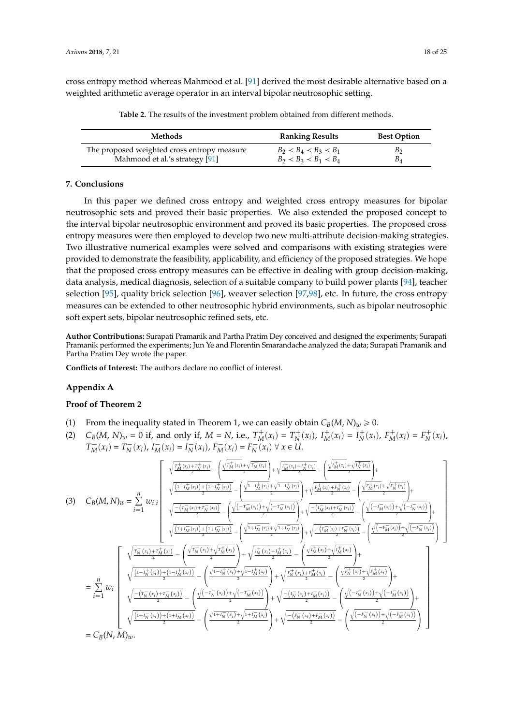<span id="page-17-2"></span>cross entropy method whereas Mahmood et al. [\[91\]](#page-24-0) derived the most desirable alternative based on a weighted arithmetic average operator in an interval bipolar neutrosophic setting.

**Table 2.** The results of the investment problem obtained from different methods.

| Methods                                     | <b>Ranking Results</b>  | <b>Best Option</b> |
|---------------------------------------------|-------------------------|--------------------|
| The proposed weighted cross entropy measure | $B_2 < B_4 < B_3 < B_1$ | B <sub>2</sub>     |
| Mahmood et al.'s strategy [91]              | $B_2 < B_3 < B_1 < B_4$ | $B_4$              |

#### <span id="page-17-0"></span>**7. Conclusions**

In this paper we defined cross entropy and weighted cross entropy measures for bipolar neutrosophic sets and proved their basic properties. We also extended the proposed concept to the interval bipolar neutrosophic environment and proved its basic properties. The proposed cross entropy measures were then employed to develop two new multi-attribute decision-making strategies. Two illustrative numerical examples were solved and comparisons with existing strategies were provided to demonstrate the feasibility, applicability, and efficiency of the proposed strategies. We hope that the proposed cross entropy measures can be effective in dealing with group decision-making, data analysis, medical diagnosis, selection of a suitable company to build power plants [\[94\]](#page-24-3), teacher selection [\[95\]](#page-24-4), quality brick selection [\[96\]](#page-24-5), weaver selection [\[97,](#page-24-6)[98\]](#page-24-7), etc. In future, the cross entropy measures can be extended to other neutrosophic hybrid environments, such as bipolar neutrosophic soft expert sets, bipolar neutrosophic refined sets, etc.

**Author Contributions:** Surapati Pramanik and Partha Pratim Dey conceived and designed the experiments; Surapati Pramanik performed the experiments; Jun Ye and Florentin Smarandache analyzed the data; Surapati Pramanik and Partha Pratim Dey wrote the paper.

**Conflicts of Interest:** The authors declare no conflict of interest.

#### <span id="page-17-1"></span>**Appendix A**

#### **Proof of Theorem 2**

(1) From the inequality stated in Theorem 1, we can easily obtain  $C_B(M, N)_w \ge 0$ .

(2)  $C_B(M, N)_w = 0$  if, and only if,  $M = N$ , i.e.,  $T_M^+(x_i) = T_N^+(x_i)$ ,  $I_M^+(x_i) = I_N^+(x_i)$ ,  $F_M^+(x_i) = F_N^+(x_i)$ ,  $T_M^-(x_i) = T_N^-(x_i)$ ,  $I_M^-(x_i) = I_N^-(x_i)$ ,  $F_M^-(x_i) = F_N^-(x_i) \forall x \in U$ .

$$
(3) C_{B}(M,N)_{w} = \sum_{i=1}^{n} w_{i} \sqrt{\frac{\frac{\int_{\frac{T_{M}^{+}}(x_{i}) + T_{N}^{+}(x_{i})}{2}}{\sqrt{\frac{(1 - \int_{M}^{+}(x_{i}) + T_{N}^{-}(x_{i})}{2}} - \left(\frac{\sqrt{1 - \int_{M}^{+}(x_{i}) + \sqrt{1 - \int_{N}^{+}(x_{i})}}{2}}{2}\right)}{2}} + \sqrt{\frac{\frac{\int_{\frac{T_{M}^{+}}(x_{i}) + T_{N}^{-}(x_{i})}{2}}{\sqrt{\frac{1 - \int_{M}^{+}(x_{i}) + T_{N}^{-}(x_{i})}{2}} - \left(\frac{\sqrt{1 - \int_{M}^{+}(x_{i}) + \sqrt{1 - \int_{N}^{+}(x_{i})}}{2}}{2}\right)}{2}} + \sqrt{\frac{\frac{\int_{M}^{+}(x_{i}) + T_{N}^{-}(x_{i})}{2}} - \left(\frac{\int_{M}^{+}(x_{i}) + T_{N}^{-}(x_{i})}{2}\right)}{2}}{2}} - \left(\frac{\frac{\int_{M}^{+}(x_{i}) + T_{N}^{-}(x_{i})}{2}}{2} - \left(\frac{\int_{M}^{+}(x_{i}) + T_{N}^{-}(x_{i})}{2}\right)}{2}} - \left(\frac{\int_{M}^{+}(x_{i}) + T_{N}^{-}(x_{i})}{2}\right)}{2}\right) + \sqrt{\frac{\int_{M}^{+}(x_{i}) + T_{N}^{-}(x_{i})}{2}} - \left(\frac{\int_{M}^{+}(x_{i}) + T_{N}^{-}(x_{i})}{2}\right)}{2}} - \left(\frac{\int_{M}^{+}(x_{i}) + T_{N}^{-}(x_{i})}{2} - \left(\frac{\int_{M}^{+}(x_{i}) + T_{N}^{-}(x_{i})}{2}\right)}{2}\right) + \sqrt{\frac{\int_{M}^{+}(x_{i}) + T_{N}^{+}(x_{i})}{2}} - \left(\frac{\int_{M}^{+}(x_{i}) + T_{N}^{+}(x_{i})}{2}\right)}{2}} - \left(\frac{\int_{M}^{+}(x_{i}) + T_{N}^{+}(x_{i})}{2}\right) + \sqrt{\frac{\int_{M}^{+}(x_{i}) + T_{N}^{+}(x_{i})}{2}} - \left(\frac{\int_{M}^{+}(x_{i}) + T_{N}^{+}(x_{i})}{2}\right
$$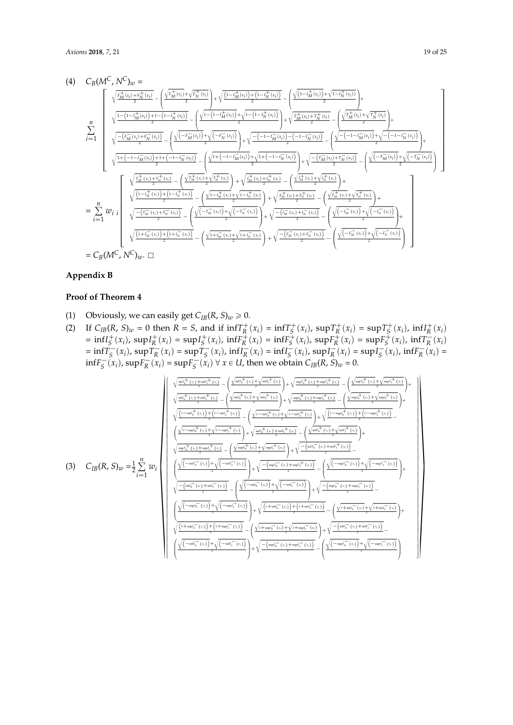$$
(4) C_{B}(M^{C}, N^{C})_{w} = \sqrt{\frac{r_{M}^{+}(x_{i}) + r_{N}^{+}(x_{i})}{2} - \left(\frac{\sqrt{r_{M}^{+}(x_{i})} + \sqrt{r_{N}^{+}(x_{i})}}{2}\right)}{\sqrt{\frac{1 - (1 - r_{M}^{+}(x_{i})) + 1 - (1 - r_{N}^{+}(x_{i}))}{2} - \left(\frac{\sqrt{1 - (1 - r_{M}^{+}(x_{i})) + 1 - (1 - r_{N}^{+}(x_{i}))}}{2}\right)}{\sqrt{\frac{1 - (1 - r_{M}^{+}(x_{i})) + r_{N}^{-}(x_{i})}{2}} - \left(\frac{\sqrt{1 - (1 - r_{M}^{+}(x_{i})) + \sqrt{1 - (1 - r_{N}^{+}(x_{i}))}}{2}\right)}{\sqrt{\frac{1 - (1 - r_{M}^{+}(x_{i})) + r_{N}^{-}(x_{i})}{2}} - \left(\frac{\sqrt{1 - (1 - r_{M}^{+}(x_{i})) + \sqrt{1 - (1 - r_{N}^{+}(x_{i}))}}{2}\right)}{\sqrt{\frac{1 + (1 - 1 - r_{M}^{-}(x_{i})) + 1 + (1 - 1 - r_{N}^{-}(x_{i}))}{2}} - \left(\frac{\sqrt{1 - (1 - r_{M}^{+}(x_{i})) + \sqrt{1 - (1 - r_{N}^{+}(x_{i}))}}{2}\right)}{\sqrt{\frac{1 + (1 - 1 - r_{M}^{-}(x_{i})) + 1 + (1 - 1 - r_{N}^{-}(x_{i}))}{2}} - \left(\frac{\sqrt{1 + (1 - 1 - r_{M}^{-}(x_{i})) + \sqrt{1 + (1 - 1 - r_{N}^{-}(x_{i}))}}{2}\right)}{\sqrt{\frac{1 + (1 - 1 - r_{M}^{+}(x_{i})) + r_{N}^{+}(x_{i})}{2}} - \left(\frac{\sqrt{r_{M}^{+}(x_{i}) + \sqrt{r_{N}^{+}(x_{i})}}}{2}\right)}{\sqrt{\frac{1 - (1 - r_{M}^{+}(x_{i})) + (1 - r_{N}^{+}(x_{i}))}{2}} - \left(\frac{\sqrt{1 - r_{M}^{+}(x_{i}) + \sqrt{r_{N}^{+}(x_{i})}}}{2}\right)}{\sqrt{\frac{1 - (1 - r_{M}^{+}(x_{i})) + (1 - r_{N}^{+}(x_{i}))}{2}} - \left(\frac{\sqrt{1 - r_{M}
$$

# <span id="page-18-0"></span>**Appendix B**

# **Proof of Theorem 4**

- (1) Obviously, we can easily get  $C_{IB}(R, S)_w \ge 0$ .
- (2) If  $C_{IB}(R, S)_w = 0$  then  $R = S$ , and if  $\inf T_R^+(x_i) = \inf T_S^+(x_i)$ ,  $\sup T_R^+(x_i) = \sup T_S^+(x_i)$ ,  $\inf T_R^+(x_i)$ =  $\inf I_S^+(x_i)$ ,  $\sup I_R^+(x_i)$  =  $\sup I_S^+(x_i)$ ,  $\inf F_R^+(x_i)$  =  $\inf F_S^+(x_i)$ ,  $\sup F_R^+(x_i)$  =  $\sup F_S^+(x_i)$ ,  $\inf T_R^-(x_i)$ =  $\inf T_S^-(x_i)$ ,  $\sup T_R^-(x_i)$  =  $\sup T_S^-(x_i)$ ,  $\inf T_R^-(x_i)$  =  $\inf T_S^-(x_i)$ ,  $\sup T_R^-(x_i)$  =  $\sup T_S^-(x_i)$ ,  $\inf F_R^-(x_i)$  =  $\inf F_S^-(x_i)$ ,  $\sup F_R^-(x_i) = \sup F_S^-(x_i) \ \forall \ x \in U$ , then we obtain  $C_{IB}(R, S)_w = 0$ .

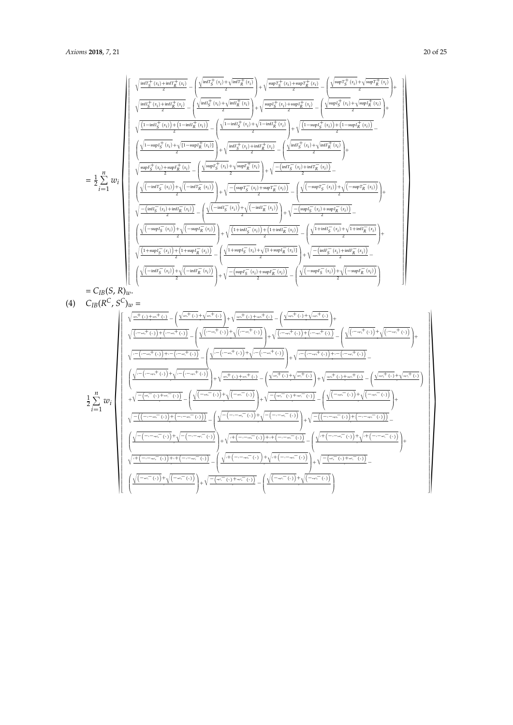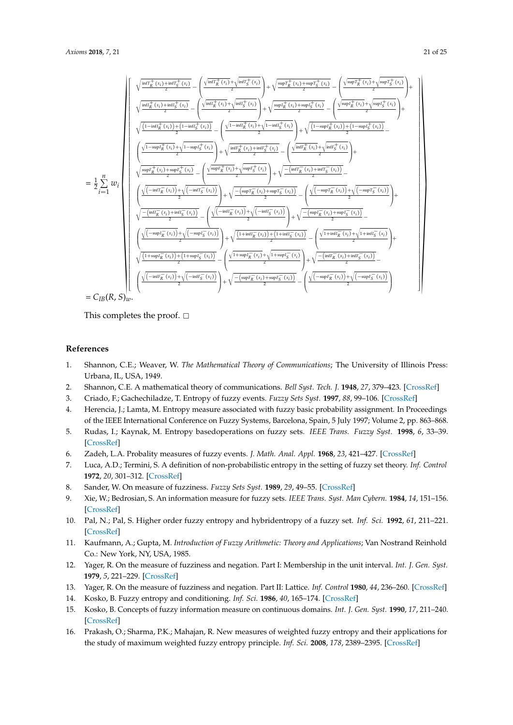

This completes the proof.  $\square$ 

#### **References**

- <span id="page-20-0"></span>1. Shannon, C.E.; Weaver, W. *The Mathematical Theory of Communications* ; The University of Illinois Press: Urbana, IL, USA, 1949.
- <span id="page-20-1"></span>2. Shannon, C.E. A mathematical theory of communications. *Bell Syst. Tech. J.* **1948**, *27*, 379–423. [\[CrossRef\]](http://dx.doi.org/10.1002/j.1538-7305.1948.tb01338.x)
- <span id="page-20-2"></span>3. Criado, F.; Gachechiladze, T. Entropy of fuzzy events. *Fuzzy Sets Syst.* **1997**, *88*, 99–106. [\[CrossRef\]](http://dx.doi.org/10.1016/S0165-0114(96)00073-5)
- 4. Herencia, J.; Lamta, M. Entropy measure associated with fuzzy basic probability assignment. In Proceedings of the IEEE International Conference on Fuzzy Systems, Barcelona, Spain, 5 July 1997; Volume 2, pp. 863–868.
- <span id="page-20-3"></span>5. Rudas, I.; Kaynak, M. Entropy basedoperations on fuzzy sets. *IEEE Trans. Fuzzy Syst.* **1998**, *6*, 33–39. [\[CrossRef\]](http://dx.doi.org/10.1109/91.660806)
- <span id="page-20-4"></span>6. Zadeh, L.A. Probality measures of fuzzy events. *J. Math. Anal. Appl.* **1968**, *23*, 421–427. [\[CrossRef\]](http://dx.doi.org/10.1016/0022-247X(68)90078-4)
- <span id="page-20-5"></span>7. Luca, A.D.; Termini, S. A definition of non-probabilistic entropy in the setting of fuzzy set theory. *Inf. Control* **1972**, *20*, 301–312. [\[CrossRef\]](http://dx.doi.org/10.1016/S0019-9958(72)90199-4)
- <span id="page-20-6"></span>8. Sander, W. On measure of fuzziness. *Fuzzy Sets Syst.* **1989**, *29*, 49–55. [\[CrossRef\]](http://dx.doi.org/10.1016/0165-0114(89)90135-8)
- <span id="page-20-7"></span>9. Xie, W.; Bedrosian, S. An information measure for fuzzy sets. *IEEE Trans. Syst. Man Cybern.* **1984**, *14*, 151–156. [\[CrossRef\]](http://dx.doi.org/10.1109/TSMC.1984.6313278)
- <span id="page-20-8"></span>10. Pal, N.; Pal, S. Higher order fuzzy entropy and hybridentropy of a fuzzy set. *Inf. Sci.* **1992**, *61*, 211–221. [\[CrossRef\]](http://dx.doi.org/10.1016/0020-0255(92)90051-9)
- <span id="page-20-9"></span>11. Kaufmann, A.; Gupta, M. *Introduction of Fuzzy Arithmetic: Theory and Applications*; Van Nostrand Reinhold Co.: New York, NY, USA, 1985.
- <span id="page-20-10"></span>12. Yager, R. On the measure of fuzziness and negation. Part I: Membership in the unit interval. *Int. J. Gen. Syst.* **1979**, *5*, 221–229. [\[CrossRef\]](http://dx.doi.org/10.1080/03081077908547452)
- <span id="page-20-11"></span>13. Yager, R. On the measure of fuzziness and negation. Part II: Lattice. *Inf. Control* **1980**, *44*, 236–260. [\[CrossRef\]](http://dx.doi.org/10.1016/S0019-9958(80)90156-4)
- <span id="page-20-12"></span>14. Kosko, B. Fuzzy entropy and conditioning. *Inf. Sci.* **1986**, *40*, 165–174. [\[CrossRef\]](http://dx.doi.org/10.1016/0020-0255(86)90006-X)
- <span id="page-20-13"></span>15. Kosko, B. Concepts of fuzzy information measure on continuous domains. *Int. J. Gen. Syst.* **1990**, *17*, 211–240. [\[CrossRef\]](http://dx.doi.org/10.1080/03081079008935108)
- <span id="page-20-14"></span>16. Prakash, O.; Sharma, P.K.; Mahajan, R. New measures of weighted fuzzy entropy and their applications for the study of maximum weighted fuzzy entropy principle. *Inf. Sci.* **2008**, *178*, 2389–2395. [\[CrossRef\]](http://dx.doi.org/10.1016/j.ins.2007.12.003)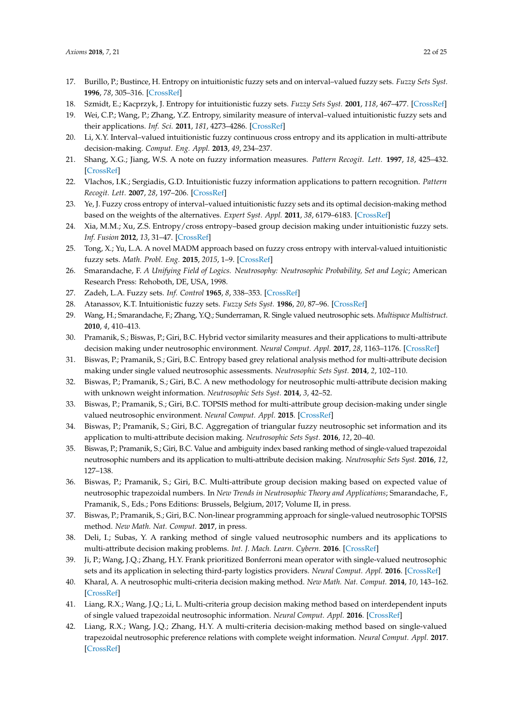- <span id="page-21-0"></span>17. Burillo, P.; Bustince, H. Entropy on intuitionistic fuzzy sets and on interval–valued fuzzy sets. *Fuzzy Sets Syst.* **1996**, *78*, 305–316. [\[CrossRef\]](http://dx.doi.org/10.1016/0165-0114(96)84611-2)
- <span id="page-21-1"></span>18. Szmidt, E.; Kacprzyk, J. Entropy for intuitionistic fuzzy sets. *Fuzzy Sets Syst.* **2001**, *118*, 467–477. [\[CrossRef\]](http://dx.doi.org/10.1016/S0165-0114(98)00402-3)
- <span id="page-21-2"></span>19. Wei, C.P.; Wang, P.; Zhang, Y.Z. Entropy, similarity measure of interval–valued intuitionistic fuzzy sets and their applications. *Inf. Sci.* **2011**, *181*, 4273–4286. [\[CrossRef\]](http://dx.doi.org/10.1016/j.ins.2011.06.001)
- <span id="page-21-3"></span>20. Li, X.Y. Interval–valued intuitionistic fuzzy continuous cross entropy and its application in multi-attribute decision-making. *Comput. Eng. Appl.* **2013**, *49*, 234–237.
- <span id="page-21-4"></span>21. Shang, X.G.; Jiang, W.S. A note on fuzzy information measures. *Pattern Recogit. Lett.* **1997**, *18*, 425–432. [\[CrossRef\]](http://dx.doi.org/10.1016/S0167-8655(97)00028-7)
- <span id="page-21-5"></span>22. Vlachos, I.K.; Sergiadis, G.D. Intuitionistic fuzzy information applications to pattern recognition. *Pattern Recogit. Lett.* **2007**, *28*, 197–206. [\[CrossRef\]](http://dx.doi.org/10.1016/j.patrec.2006.07.004)
- <span id="page-21-6"></span>23. Ye, J. Fuzzy cross entropy of interval–valued intuitionistic fuzzy sets and its optimal decision-making method based on the weights of the alternatives. *Expert Syst. Appl.* **2011**, *38*, 6179–6183. [\[CrossRef\]](http://dx.doi.org/10.1016/j.eswa.2010.11.052)
- <span id="page-21-7"></span>24. Xia, M.M.; Xu, Z.S. Entropy/cross entropy–based group decision making under intuitionistic fuzzy sets. *Inf. Fusion* **2012**, *13*, 31–47. [\[CrossRef\]](http://dx.doi.org/10.1016/j.inffus.2010.12.001)
- <span id="page-21-8"></span>25. Tong, X.; Yu, L.A. A novel MADM approach based on fuzzy cross entropy with interval-valued intuitionistic fuzzy sets. *Math. Probl. Eng.* **2015**, *2015*, 1–9. [\[CrossRef\]](http://dx.doi.org/10.1155/965040)
- <span id="page-21-9"></span>26. Smarandache, F. *A Unifying Field of Logics. Neutrosophy: Neutrosophic Probability, Set and Logic*; American Research Press: Rehoboth, DE, USA, 1998.
- <span id="page-21-10"></span>27. Zadeh, L.A. Fuzzy sets. *Inf. Control* **1965**, *8*, 338–353. [\[CrossRef\]](http://dx.doi.org/10.1016/S0019-9958(65)90241-X)
- <span id="page-21-12"></span><span id="page-21-11"></span>28. Atanassov, K.T. Intuitionistic fuzzy sets. *Fuzzy Sets Syst.* **1986**, *20*, 87–96. [\[CrossRef\]](http://dx.doi.org/10.1016/S0165-0114(86)80034-3)
- 29. Wang, H.; Smarandache, F.; Zhang, Y.Q.; Sunderraman, R. Single valued neutrosophic sets. *Multispace Multistruct.* **2010**, *4*, 410–413.
- <span id="page-21-13"></span>30. Pramanik, S.; Biswas, P.; Giri, B.C. Hybrid vector similarity measures and their applications to multi-attribute decision making under neutrosophic environment. *Neural Comput. Appl.* **2017**, *28*, 1163–1176. [\[CrossRef\]](http://dx.doi.org/10.1007/s00521-015-2125-3)
- 31. Biswas, P.; Pramanik, S.; Giri, B.C. Entropy based grey relational analysis method for multi-attribute decision making under single valued neutrosophic assessments. *Neutrosophic Sets Syst.* **2014**, *2*, 102–110.
- 32. Biswas, P.; Pramanik, S.; Giri, B.C. A new methodology for neutrosophic multi-attribute decision making with unknown weight information. *Neutrosophic Sets Syst.* **2014**, *3*, 42–52.
- 33. Biswas, P.; Pramanik, S.; Giri, B.C. TOPSIS method for multi-attribute group decision-making under single valued neutrosophic environment. *Neural Comput. Appl.* **2015**. [\[CrossRef\]](http://dx.doi.org/10.1007/s00521-015-1891-2)
- 34. Biswas, P.; Pramanik, S.; Giri, B.C. Aggregation of triangular fuzzy neutrosophic set information and its application to multi-attribute decision making. *Neutrosophic Sets Syst.* **2016**, *12*, 20–40.
- 35. Biswas, P.; Pramanik, S.; Giri, B.C. Value and ambiguity index based ranking method of single-valued trapezoidal neutrosophic numbers and its application to multi-attribute decision making. *Neutrosophic Sets Syst.* **2016**, *12*, 127–138.
- 36. Biswas, P.; Pramanik, S.; Giri, B.C. Multi-attribute group decision making based on expected value of neutrosophic trapezoidal numbers. In *New Trends in Neutrosophic Theory and Applications*; Smarandache, F., Pramanik, S., Eds.; Pons Editions: Brussels, Belgium, 2017; Volume II, in press.
- 37. Biswas, P.; Pramanik, S.; Giri, B.C. Non-linear programming approach for single-valued neutrosophic TOPSIS method. *New Math. Nat. Comput.* **2017**, in press.
- 38. Deli, I.; Subas, Y. A ranking method of single valued neutrosophic numbers and its applications to multi-attribute decision making problems. *Int. J. Mach. Learn. Cybern.* **2016**. [\[CrossRef\]](http://dx.doi.org/10.1007/s13042-016-0505-3)
- 39. Ji, P.; Wang, J.Q.; Zhang, H.Y. Frank prioritized Bonferroni mean operator with single-valued neutrosophic sets and its application in selecting third-party logistics providers. *Neural Comput. Appl.* **2016**. [\[CrossRef\]](http://dx.doi.org/10.1007/s00521-016-2660-6)
- 40. Kharal, A. A neutrosophic multi-criteria decision making method. *New Math. Nat. Comput.* **2014**, *10*, 143–162. [\[CrossRef\]](http://dx.doi.org/10.1142/S1793005714500070)
- 41. Liang, R.X.; Wang, J.Q.; Li, L. Multi-criteria group decision making method based on interdependent inputs of single valued trapezoidal neutrosophic information. *Neural Comput. Appl.* **2016**. [\[CrossRef\]](http://dx.doi.org/10.1007/s00521-016-2672-2)
- 42. Liang, R.X.; Wang, J.Q.; Zhang, H.Y. A multi-criteria decision-making method based on single-valued trapezoidal neutrosophic preference relations with complete weight information. *Neural Comput. Appl.* **2017**. [\[CrossRef\]](http://dx.doi.org/10.1007/s00521-017-2925-8)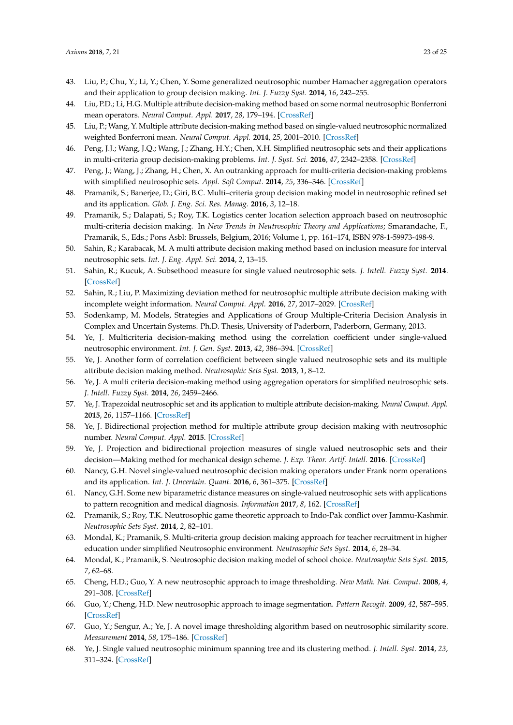- 43. Liu, P.; Chu, Y.; Li, Y.; Chen, Y. Some generalized neutrosophic number Hamacher aggregation operators and their application to group decision making. *Int. J. Fuzzy Syst.* **2014**, *16*, 242–255.
- 44. Liu, P.D.; Li, H.G. Multiple attribute decision-making method based on some normal neutrosophic Bonferroni mean operators. *Neural Comput. Appl.* **2017**, *28*, 179–194. [\[CrossRef\]](http://dx.doi.org/10.1007/s00521-015-2048-z)
- 45. Liu, P.; Wang, Y. Multiple attribute decision-making method based on single-valued neutrosophic normalized weighted Bonferroni mean. *Neural Comput. Appl.* **2014**, *25*, 2001–2010. [\[CrossRef\]](http://dx.doi.org/10.1007/s00521-014-1688-8)
- 46. Peng, J.J.; Wang, J.Q.; Wang, J.; Zhang, H.Y.; Chen, X.H. Simplified neutrosophic sets and their applications in multi-criteria group decision-making problems. *Int. J. Syst. Sci.* **2016**, *47*, 2342–2358. [\[CrossRef\]](http://dx.doi.org/10.1080/00207721.2014.994050)
- 47. Peng, J.; Wang, J.; Zhang, H.; Chen, X. An outranking approach for multi-criteria decision-making problems with simplified neutrosophic sets. *Appl. Soft Comput.* **2014**, *25*, 336–346. [\[CrossRef\]](http://dx.doi.org/10.1016/j.asoc.2014.08.070)
- 48. Pramanik, S.; Banerjee, D.; Giri, B.C. Multi–criteria group decision making model in neutrosophic refined set and its application. *Glob. J. Eng. Sci. Res. Manag.* **2016**, *3*, 12–18.
- 49. Pramanik, S.; Dalapati, S.; Roy, T.K. Logistics center location selection approach based on neutrosophic multi-criteria decision making. In *New Trends in Neutrosophic Theory and Applications*; Smarandache, F., Pramanik, S., Eds.; Pons Asbl: Brussels, Belgium, 2016; Volume 1, pp. 161–174, ISBN 978-1-59973-498-9.
- 50. Sahin, R.; Karabacak, M. A multi attribute decision making method based on inclusion measure for interval neutrosophic sets. *Int. J. Eng. Appl. Sci.* **2014**, *2*, 13–15.
- 51. Sahin, R.; Kucuk, A. Subsethood measure for single valued neutrosophic sets. *J. Intell. Fuzzy Syst.* **2014**. [\[CrossRef\]](http://dx.doi.org/10.3233/IFS-141304)
- 52. Sahin, R.; Liu, P. Maximizing deviation method for neutrosophic multiple attribute decision making with incomplete weight information. *Neural Comput. Appl.* **2016**, *27*, 2017–2029. [\[CrossRef\]](http://dx.doi.org/10.1007/s00521-015-1995-8)
- 53. Sodenkamp, M. Models, Strategies and Applications of Group Multiple-Criteria Decision Analysis in Complex and Uncertain Systems. Ph.D. Thesis, University of Paderborn, Paderborn, Germany, 2013.
- 54. Ye, J. Multicriteria decision-making method using the correlation coefficient under single-valued neutrosophic environment. *Int. J. Gen. Syst.* **2013**, *42*, 386–394. [\[CrossRef\]](http://dx.doi.org/10.1080/03081079.2012.761609)
- 55. Ye, J. Another form of correlation coefficient between single valued neutrosophic sets and its multiple attribute decision making method. *Neutrosophic Sets Syst.* **2013**, *1*, 8–12.
- 56. Ye, J. A multi criteria decision-making method using aggregation operators for simplified neutrosophic sets. *J. Intell. Fuzzy Syst.* **2014**, *26*, 2459–2466.
- 57. Ye, J. Trapezoidal neutrosophic set and its application to multiple attribute decision-making. *Neural Comput. Appl.* **2015**, *26*, 1157–1166. [\[CrossRef\]](http://dx.doi.org/10.1007/s00521-014-1787-6)
- 58. Ye, J. Bidirectional projection method for multiple attribute group decision making with neutrosophic number. *Neural Comput. Appl.* **2015**. [\[CrossRef\]](http://dx.doi.org/10.1007/s00521-015-2123-5)
- 59. Ye, J. Projection and bidirectional projection measures of single valued neutrosophic sets and their decision—Making method for mechanical design scheme. *J. Exp. Theor. Artif. Intell.* **2016**. [\[CrossRef\]](http://dx.doi.org/10.1080/0952813X.2016.1259263)
- 60. Nancy, G.H. Novel single-valued neutrosophic decision making operators under Frank norm operations and its application. *Int. J. Uncertain. Quant.* **2016**, *6*, 361–375. [\[CrossRef\]](http://dx.doi.org/10.1615/Int.J.UncertaintyQuantification.2016018603)
- <span id="page-22-0"></span>61. Nancy, G.H. Some new biparametric distance measures on single-valued neutrosophic sets with applications to pattern recognition and medical diagnosis. *Information* **2017**, *8*, 162. [\[CrossRef\]](http://dx.doi.org/10.3390/info8040162)
- <span id="page-22-1"></span>62. Pramanik, S.; Roy, T.K. Neutrosophic game theoretic approach to Indo-Pak conflict over Jammu-Kashmir. *Neutrosophic Sets Syst.* **2014**, *2*, 82–101.
- <span id="page-22-2"></span>63. Mondal, K.; Pramanik, S. Multi-criteria group decision making approach for teacher recruitment in higher education under simplified Neutrosophic environment. *Neutrosophic Sets Syst.* **2014**, *6*, 28–34.
- <span id="page-22-3"></span>64. Mondal, K.; Pramanik, S. Neutrosophic decision making model of school choice. *Neutrosophic Sets Syst.* **2015**, *7*, 62–68.
- <span id="page-22-4"></span>65. Cheng, H.D.; Guo, Y. A new neutrosophic approach to image thresholding. *New Math. Nat. Comput.* **2008**, *4*, 291–308. [\[CrossRef\]](http://dx.doi.org/10.1142/S1793005708001082)
- 66. Guo, Y.; Cheng, H.D. New neutrosophic approach to image segmentation. *Pattern Recogit.* **2009**, *42*, 587–595. [\[CrossRef\]](http://dx.doi.org/10.1016/j.patcog.2008.10.002)
- <span id="page-22-5"></span>67. Guo, Y.; Sengur, A.; Ye, J. A novel image thresholding algorithm based on neutrosophic similarity score. *Measurement* **2014**, *58*, 175–186. [\[CrossRef\]](http://dx.doi.org/10.1016/j.measurement.2014.08.039)
- <span id="page-22-6"></span>68. Ye, J. Single valued neutrosophic minimum spanning tree and its clustering method. *J. Intell. Syst.* **2014**, *23*, 311–324. [\[CrossRef\]](http://dx.doi.org/10.1515/jisys-2013-0075)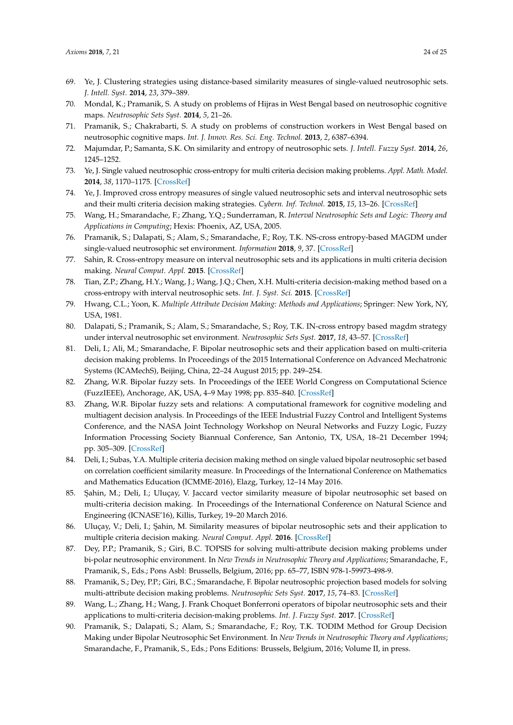- <span id="page-23-0"></span>69. Ye, J. Clustering strategies using distance-based similarity measures of single-valued neutrosophic sets. *J. Intell. Syst.* **2014**, *23*, 379–389.
- <span id="page-23-1"></span>70. Mondal, K.; Pramanik, S. A study on problems of Hijras in West Bengal based on neutrosophic cognitive maps. *Neutrosophic Sets Syst.* **2014**, *5*, 21–26.
- <span id="page-23-2"></span>71. Pramanik, S.; Chakrabarti, S. A study on problems of construction workers in West Bengal based on neutrosophic cognitive maps. *Int. J. Innov. Res. Sci. Eng. Technol.* **2013**, *2*, 6387–6394.
- <span id="page-23-3"></span>72. Majumdar, P.; Samanta, S.K. On similarity and entropy of neutrosophic sets. *J. Intell. Fuzzy Syst.* **2014**, *26*, 1245–1252.
- <span id="page-23-4"></span>73. Ye, J. Single valued neutrosophic cross-entropy for multi criteria decision making problems. *Appl. Math. Model.* **2014**, *38*, 1170–1175. [\[CrossRef\]](http://dx.doi.org/10.1016/j.apm.2013.07.020)
- <span id="page-23-5"></span>74. Ye, J. Improved cross entropy measures of single valued neutrosophic sets and interval neutrosophic sets and their multi criteria decision making strategies. *Cybern. Inf. Technol.* **2015**, *15*, 13–26. [\[CrossRef\]](http://dx.doi.org/10.1515/cait-2015-0051)
- <span id="page-23-6"></span>75. Wang, H.; Smarandache, F.; Zhang, Y.Q.; Sunderraman, R. *Interval Neutrosophic Sets and Logic: Theory and Applications in Computing*; Hexis: Phoenix, AZ, USA, 2005.
- <span id="page-23-7"></span>76. Pramanik, S.; Dalapati, S.; Alam, S.; Smarandache, F.; Roy, T.K. NS-cross entropy-based MAGDM under single-valued neutrosophic set environment. *Information* **2018**, *9*, 37. [\[CrossRef\]](http://dx.doi.org/10.3390/info9020037)
- <span id="page-23-8"></span>77. Sahin, R. Cross-entropy measure on interval neutrosophic sets and its applications in multi criteria decision making. *Neural Comput. Appl.* **2015**. [\[CrossRef\]](http://dx.doi.org/10.1007/s00521-015-2131-5)
- <span id="page-23-9"></span>78. Tian, Z.P.; Zhang, H.Y.; Wang, J.; Wang, J.Q.; Chen, X.H. Multi-criteria decision-making method based on a cross-entropy with interval neutrosophic sets. *Int. J. Syst. Sci.* **2015**. [\[CrossRef\]](http://dx.doi.org/10.1080/00207721.2015.1102359)
- <span id="page-23-10"></span>79. Hwang, C.L.; Yoon, K. *Multiple Attribute Decision Making: Methods and Applications*; Springer: New York, NY, USA, 1981.
- <span id="page-23-11"></span>80. Dalapati, S.; Pramanik, S.; Alam, S.; Smarandache, S.; Roy, T.K. IN-cross entropy based magdm strategy under interval neutrosophic set environment. *Neutrosophic Sets Syst.* **2017**, *18*, 43–57. [\[CrossRef\]](http://dx.doi.org/10.5281/zenodo.1175162)
- <span id="page-23-12"></span>81. Deli, I.; Ali, M.; Smarandache, F. Bipolar neutrosophic sets and their application based on multi-criteria decision making problems. In Proceedings of the 2015 International Conference on Advanced Mechatronic Systems (ICAMechS), Beijing, China, 22–24 August 2015; pp. 249–254.
- <span id="page-23-13"></span>82. Zhang, W.R. Bipolar fuzzy sets. In Proceedings of the IEEE World Congress on Computational Science (FuzzIEEE), Anchorage, AK, USA, 4–9 May 1998; pp. 835–840. [\[CrossRef\]](http://dx.doi.org/10.1109/FUZZY.1998.687599)
- <span id="page-23-14"></span>83. Zhang, W.R. Bipolar fuzzy sets and relations: A computational framework for cognitive modeling and multiagent decision analysis. In Proceedings of the IEEE Industrial Fuzzy Control and Intelligent Systems Conference, and the NASA Joint Technology Workshop on Neural Networks and Fuzzy Logic, Fuzzy Information Processing Society Biannual Conference, San Antonio, TX, USA, 18–21 December 1994; pp. 305–309. [\[CrossRef\]](http://dx.doi.org/10.1109/IJCF.1994.375115)
- <span id="page-23-15"></span>84. Deli, I.; Subas, Y.A. Multiple criteria decision making method on single valued bipolar neutrosophic set based on correlation coefficient similarity measure. In Proceedings of the International Conference on Mathematics and Mathematics Education (ICMME-2016), Elazg, Turkey, 12–14 May 2016.
- <span id="page-23-16"></span>85. Şahin, M.; Deli, I.; Uluçay, V. Jaccard vector similarity measure of bipolar neutrosophic set based on multi-criteria decision making. In Proceedings of the International Conference on Natural Science and Engineering (ICNASE'16), Killis, Turkey, 19–20 March 2016.
- <span id="page-23-17"></span>86. Uluçay, V.; Deli, I.; ¸Sahin, M. Similarity measures of bipolar neutrosophic sets and their application to multiple criteria decision making. *Neural Comput. Appl.* **2016**. [\[CrossRef\]](http://dx.doi.org/10.1007/s00521-016-2479-1)
- <span id="page-23-18"></span>87. Dey, P.P.; Pramanik, S.; Giri, B.C. TOPSIS for solving multi-attribute decision making problems under bi-polar neutrosophic environment. In *New Trends in Neutrosophic Theory and Applications*; Smarandache, F., Pramanik, S., Eds.; Pons Asbl: Brussells, Belgium, 2016; pp. 65–77, ISBN 978-1-59973-498-9.
- <span id="page-23-19"></span>88. Pramanik, S.; Dey, P.P.; Giri, B.C.; Smarandache, F. Bipolar neutrosophic projection based models for solving multi-attribute decision making problems. *Neutrosophic Sets Syst.* **2017**, *15*, 74–83. [\[CrossRef\]](http://dx.doi.org/10.5281/zenedo.570936)
- <span id="page-23-20"></span>89. Wang, L.; Zhang, H.; Wang, J. Frank Choquet Bonferroni operators of bipolar neutrosophic sets and their applications to multi-criteria decision-making problems. *Int. J. Fuzzy Syst.* **2017**. [\[CrossRef\]](http://dx.doi.org/10.1007/s40815-017-0373-3)
- <span id="page-23-21"></span>90. Pramanik, S.; Dalapati, S.; Alam, S.; Smarandache, F.; Roy, T.K. TODIM Method for Group Decision Making under Bipolar Neutrosophic Set Environment. In *New Trends in Neutrosophic Theory and Applications*; Smarandache, F., Pramanik, S., Eds.; Pons Editions: Brussels, Belgium, 2016; Volume II, in press.